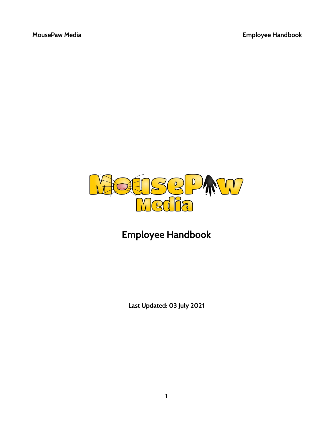

# **Employee Handbook**

**Last Updated: 03 July 2021**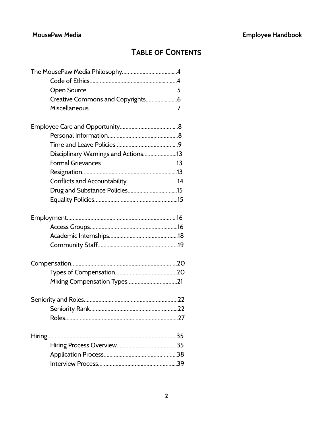# **TABLE OF CONTENTS**

| Disciplinary Warnings and Actions13 |      |
|-------------------------------------|------|
|                                     |      |
|                                     |      |
|                                     |      |
|                                     |      |
|                                     |      |
|                                     |      |
|                                     |      |
|                                     |      |
|                                     |      |
|                                     |      |
|                                     |      |
|                                     |      |
|                                     |      |
| Seniority Rank                      | . 22 |
|                                     |      |
|                                     |      |
|                                     |      |
|                                     |      |
|                                     |      |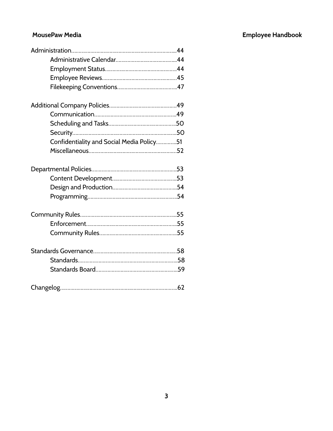| Confidentiality and Social Media Policy51 |
|-------------------------------------------|
|                                           |
|                                           |
|                                           |
|                                           |
|                                           |
|                                           |
|                                           |
|                                           |
|                                           |
|                                           |
|                                           |
|                                           |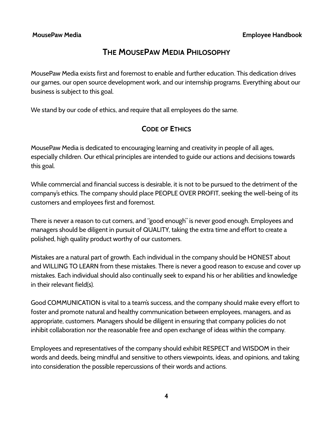# **THE MOUSEPAW MEDIA PHILOSOPHY**

MousePaw Media exists first and foremost to enable and further education. This dedication drives our games, our open source development work, and our internship programs. Everything about our business is subject to this goal.

We stand by our code of ethics, and require that all employees do the same.

## **CODE OF ETHICS**

MousePaw Media is dedicated to encouraging learning and creativity in people of all ages, especially children. Our ethical principles are intended to guide our actions and decisions towards this goal.

While commercial and financial success is desirable, it is not to be pursued to the detriment of the company's ethics. The company should place PEOPLE OVER PROFIT, seeking the well-being of its customers and employees first and foremost.

There is never a reason to cut corners, and "good enough" is never good enough. Employees and managers should be diligent in pursuit of QUALITY, taking the extra time and effort to create a polished, high quality product worthy of our customers.

Mistakes are a natural part of growth. Each individual in the company should be HONEST about and WILLING TO LEARN from these mistakes. There is never a good reason to excuse and cover up mistakes. Each individual should also continually seek to expand his or her abilities and knowledge in their relevant field(s).

Good COMMUNICATION is vital to a team's success, and the company should make every effort to foster and promote natural and healthy communication between employees, managers, and as appropriate, customers. Managers should be diligent in ensuring that company policies do not inhibit collaboration nor the reasonable free and open exchange of ideas within the company.

Employees and representatives of the company should exhibit RESPECT and WISDOM in their words and deeds, being mindful and sensitive to others viewpoints, ideas, and opinions, and taking into consideration the possible repercussions of their words and actions.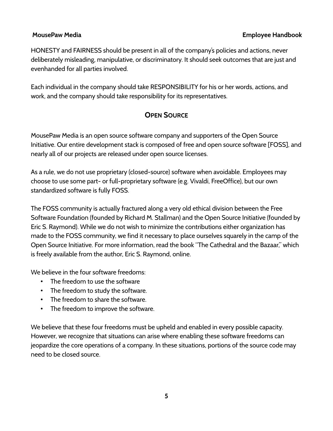HONESTY and FAIRNESS should be present in all of the company's policies and actions, never deliberately misleading, manipulative, or discriminatory. It should seek outcomes that are just and evenhanded for all parties involved.

Each individual in the company should take RESPONSIBILITY for his or her words, actions, and work, and the company should take responsibility for its representatives.

## **OPEN SOURCE**

MousePaw Media is an open source software company and supporters of the Open Source Initiative. Our entire development stack is composed of free and open source software [FOSS], and nearly all of our projects are released under open source licenses.

As a rule, we do not use proprietary (closed-source) software when avoidable. Employees may choose to use some part- or full-proprietary software (e.g. Vivaldi, FreeOffice), but our own standardized software is fully FOSS.

The FOSS community is actually fractured along a very old ethical division between the Free Software Foundation (founded by Richard M. Stallman) and the Open Source Initiative (founded by Eric S. Raymond). While we do not wish to minimize the contributions either organization has made to the FOSS community, we find it necessary to place ourselves squarely in the camp of the Open Source Initiative. For more information, read the book "The Cathedral and the Bazaar," which is freely available from the author, Eric S. Raymond, online.

We believe in the four software freedoms:

- The freedom to use the software
- The freedom to study the software.
- The freedom to share the software.
- The freedom to improve the software.

We believe that these four freedoms must be upheld and enabled in every possible capacity. However, we recognize that situations can arise where enabling these software freedoms can jeopardize the core operations of a company. In these situations, portions of the source code may need to be closed source.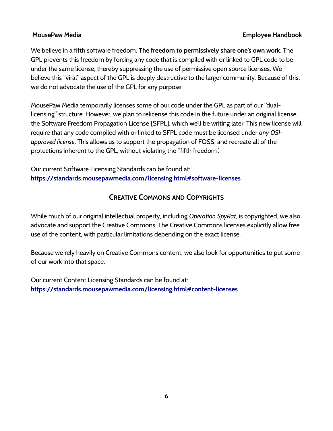We believe in a fifth software freedom: **The freedom to permissively share one's own work**. The GPL prevents this freedom by forcing any code that is compiled with or linked to GPL code to be under the same license, thereby suppressing the use of permissive open source licenses. We believe this "viral" aspect of the GPL is deeply destructive to the larger community. Because of this, we do not advocate the use of the GPL for any purpose.

MousePaw Media temporarily licenses some of our code under the GPL as part of our "duallicensing" structure. However, we plan to relicense this code in the future under an original license, the Software Freedom Propagation License [SFPL], which we'll be writing later. This new license will require that any code compiled with or linked to SFPL code must be licensed under *any OSIapproved license*. This allows us to support the propagation of FOSS, and recreate all of the protections inherent to the GPL, without violating the "fifth freedom".

Our current Software Licensing Standards can be found at: **<https://standards.mousepawmedia.com/licensing.html#software-licenses>**

## **CREATIVE COMMONS AND COPYRIGHTS**

While much of our original intellectual property, including *Operation SpyRat*, is copyrighted, we also advocate and support the Creative Commons. The Creative Commons licenses explicitly allow free use of the content, with particular limitations depending on the exact license.

Because we rely heavily on Creative Commons content, we also look for opportunities to put some of our work into that space.

Our current Content Licensing Standards can be found at: **<https://standards.mousepawmedia.com/licensing.html#content-licenses>**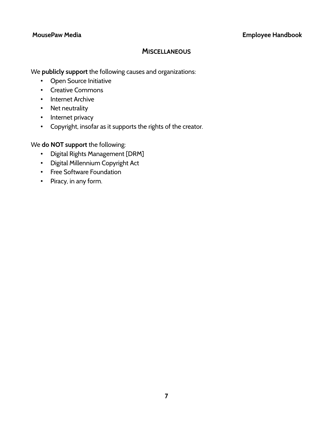## **MISCELLANEOUS**

We **publicly support** the following causes and organizations:

- Open Source Initiative
- Creative Commons
- Internet Archive
- Net neutrality
- Internet privacy
- Copyright, insofar as it supports the rights of the creator.

We **do NOT support** the following:

- Digital Rights Management [DRM]
- Digital Millennium Copyright Act
- Free Software Foundation
- Piracy, in any form.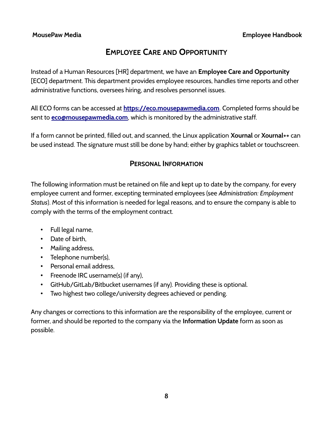# **EMPLOYEE CARE AND OPPORTUNITY**

Instead of a Human Resources [HR] department, we have an **Employee Care and Opportunity** [ECO] department. This department provides employee resources, handles time reports and other administrative functions, oversees hiring, and resolves personnel issues.

All ECO forms can be accessed at **[https://eco.mousepawmedia.com](https://eco.mousepawmedia.com/)**. Completed forms should be sent to **[eco@mousepawmedia.com](mailto:eco@mousepawmedia.com)**, which is monitored by the administrative staff.

If a form cannot be printed, filled out, and scanned, the Linux application **Xournal** or **Xournal++** can be used instead. The signature must still be done by hand; either by graphics tablet or touchscreen.

## **PERSONAL INFORMATION**

The following information must be retained on file and kept up to date by the company, for every employee current and former, excepting terminated employees (see *Administration: Employment Status*). Most of this information is needed for legal reasons, and to ensure the company is able to comply with the terms of the employment contract.

- Full legal name,
- Date of birth,
- Mailing address,
- Telephone number(s),
- Personal email address,
- Freenode IRC username(s) (if any),
- GitHub/GitLab/Bitbucket usernames (if any). Providing these is optional.
- Two highest two college/university degrees achieved or pending.

Any changes or corrections to this information are the responsibility of the employee, current or former, and should be reported to the company via the **Information Update** form as soon as possible.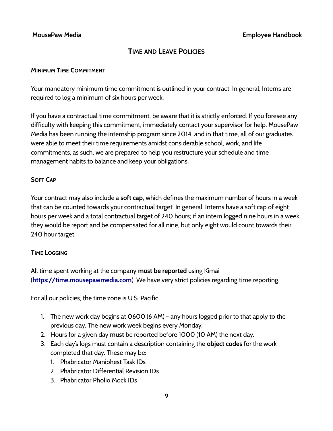## **TIME AND LEAVE POLICIES**

### **MINIMUM TIME COMMITMENT**

Your mandatory minimum time commitment is outlined in your contract. In general, Interns are required to log a minimum of six hours per week.

If you have a contractual time commitment, be aware that it is strictly enforced. If you foresee any difficulty with keeping this commitment, immediately contact your supervisor for help. MousePaw Media has been running the internship program since 2014, and in that time, all of our graduates were able to meet their time requirements amidst considerable school, work, and life commitments; as such, we are prepared to help you restructure your schedule and time management habits to balance and keep your obligations.

## **SOFT CAP**

Your contract may also include a **soft cap**, which defines the maximum number of hours in a week that can be counted towards your contractual target. In general, Interns have a soft cap of eight hours per week and a total contractual target of 240 hours; if an intern logged nine hours in a week, they would be report and be compensated for all nine, but only eight would count towards their 240 hour target.

## **TIME LOGGING**

All time spent working at the company **must be reported** using Kimai (**[https://time.mousepawmedia.com](https://time.mousepawmedia.com/)**). We have very strict policies regarding time reporting.

For all our policies, the time zone is U.S. Pacific.

- 1. The new work day begins at 0600 (6 AM) any hours logged prior to that apply to the previous day. The new work week begins every Monday.
- 2. Hours for a given day **must** be reported before 1000 (10 AM) the next day.
- 3. Each day's logs must contain a description containing the **object codes** for the work completed that day. These may be:
	- 1. Phabricator Maniphest Task IDs
	- 2. Phabricator Differential Revision IDs
	- 3. Phabricator Pholio Mock IDs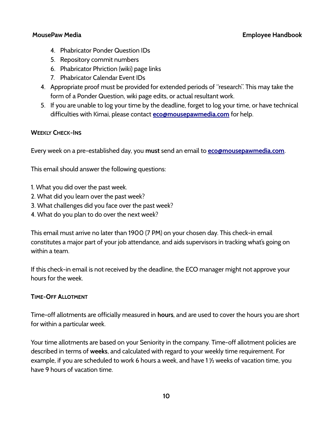- 4. Phabricator Ponder Question IDs
- 5. Repository commit numbers
- 6. Phabricator Phriction (wiki) page links
- 7. Phabricator Calendar Event IDs
- 4. Appropriate proof must be provided for extended periods of "research". This may take the form of a Ponder Question, wiki page edits, or actual resultant work.
- 5. If you are unable to log your time by the deadline, forget to log your time, or have technical difficulties with Kimai, please contact **[eco@mousepawmedia.com](mailto:eco@mousepawmedia.com)** for help.

## **WEEKLY CHECK-INS**

Every week on a pre-established day, you **must** send an email to **[eco@mousepawmedia.com](mailto:eco@mousepawmedia.com)**.

This email should answer the following questions:

- 1. What you did over the past week.
- 2. What did you learn over the past week?
- 3. What challenges did you face over the past week?
- 4. What do you plan to do over the next week?

This email must arrive no later than 1900 (7 PM) on your chosen day. This check-in email constitutes a major part of your job attendance, and aids supervisors in tracking what's going on within a team.

If this check-in email is not received by the deadline, the ECO manager might not approve your hours for the week.

## **TIME-OFF ALLOTMENT**

Time-off allotments are officially measured in **hours**, and are used to cover the hours you are short for within a particular week.

Your time allotments are based on your Seniority in the company. Time-off allotment policies are described in terms of **weeks**, and calculated with regard to your weekly time requirement. For example, if you are scheduled to work 6 hours a week, and have 1 ½ weeks of vacation time, you have 9 hours of vacation time.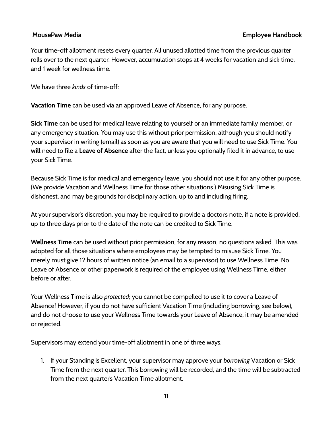Your time-off allotment resets every quarter. All unused allotted time from the previous quarter rolls over to the next quarter. However, accumulation stops at 4 weeks for vacation and sick time, and 1 week for wellness time.

We have three *kinds* of time-off:

**Vacation Time** can be used via an approved Leave of Absence, for any purpose.

**Sick Time** can be used for medical leave relating to yourself or an immediate family member, or any emergency situation. You may use this without prior permission. although you should notify your supervisor in writing (email) as soon as you are aware that you will need to use Sick Time. You **will** need to file a **Leave of Absence** after the fact, unless you optionally filed it in advance, to use your Sick Time.

Because Sick Time is for medical and emergency leave, you should not use it for any other purpose. (We provide Vacation and Wellness Time for those other situations.) Misusing Sick Time is dishonest, and may be grounds for disciplinary action, up to and including firing.

At your supervisor's discretion, you may be required to provide a doctor's note; if a note is provided, up to three days prior to the date of the note can be credited to Sick Time.

**Wellness Time** can be used without prior permission, for any reason, no questions asked. This was adopted for all those situations where employees may be tempted to misuse Sick Time. You merely must give 12 hours of written notice (an email to a supervisor) to use Wellness Time. No Leave of Absence or other paperwork is required of the employee using Wellness Time, either before or after.

Your Wellness Time is also *protected*; you cannot be compelled to use it to cover a Leave of Absence! However, if you do not have sufficient Vacation Time (including borrowing, see below), and do not choose to use your Wellness Time towards your Leave of Absence, it may be amended or rejected.

Supervisors may extend your time-off allotment in one of three ways:

1. If your Standing is Excellent, your supervisor may approve your *borrowing* Vacation or Sick Time from the next quarter. This borrowing will be recorded, and the time will be subtracted from the next quarter's Vacation Time allotment.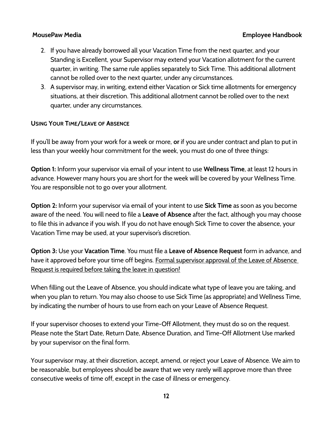- 2. If you have already borrowed all your Vacation Time from the next quarter, and your Standing is Excellent, your Supervisor may extend your Vacation allotment for the current quarter, in writing. The same rule applies separately to Sick Time. This additional allotment cannot be rolled over to the next quarter, under any circumstances.
- 3. A supervisor may, in writing, extend either Vacation or Sick time allotments for emergency situations, at their discretion. This additional allotment cannot be rolled over to the next quarter, under any circumstances.

### **USING YOUR TIME/LEAVE OF ABSENCE**

If you'll be away from your work for a week or more, **or** if you are under contract and plan to put in less than your weekly hour commitment for the week, you must do one of three things:

**Option 1:** Inform your supervisor via email of your intent to use **Wellness Time**, at least 12 hours in advance. However many hours you are short for the week will be covered by your Wellness Time. You are responsible not to go over your allotment.

**Option 2:** Inform your supervisor via email of your intent to use **Sick Time** as soon as you become aware of the need. You will need to file a **Leave of Absence** after the fact, although you may choose to file this in advance if you wish. If you do not have enough Sick Time to cover the absence, your Vacation Time may be used, at your supervisor's discretion.

**Option 3:** Use your **Vacation Time**. You must file a **Leave of Absence Request** form in advance, and have it approved before your time off begins. Formal supervisor approval of the Leave of Absence Request is required before taking the leave in question!

When filling out the Leave of Absence, you should indicate what type of leave you are taking, and when you plan to return. You may also choose to use Sick Time (as appropriate) and Wellness Time, by indicating the number of hours to use from each on your Leave of Absence Request.

If your supervisor chooses to extend your Time-Off Allotment, they must do so on the request. Please note the Start Date, Return Date, Absence Duration, and Time-Off Allotment Use marked by your supervisor on the final form.

Your supervisor may, at their discretion, accept, amend, or reject your Leave of Absence. We aim to be reasonable, but employees should be aware that we very rarely will approve more than three consecutive weeks of time off, except in the case of illness or emergency.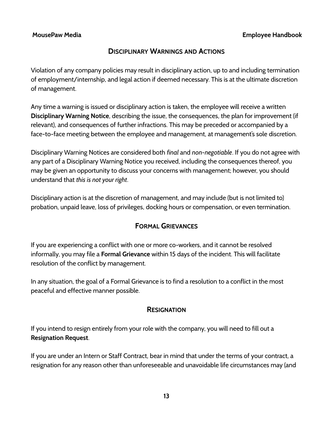## **DISCIPLINARY WARNINGS AND ACTIONS**

Violation of any company policies may result in disciplinary action, up to and including termination of employment/internship, and legal action if deemed necessary. This is at the ultimate discretion of management.

Any time a warning is issued or disciplinary action is taken, the employee will receive a written **Disciplinary Warning Notice**, describing the issue, the consequences, the plan for improvement (if relevant), and consequences of further infractions. This may be preceded or accompanied by a face-to-face meeting between the employee and management, at management's sole discretion.

Disciplinary Warning Notices are considered both *final* and *non-negotiable*. If you do not agree with any part of a Disciplinary Warning Notice you received, including the consequences thereof, you may be given an opportunity to discuss your concerns with management; however, you should understand that *this is not your right*.

Disciplinary action is at the discretion of management, and may include (but is not limited to) probation, unpaid leave, loss of privileges, docking hours or compensation, or even termination.

## **FORMAL GRIEVANCES**

If you are experiencing a conflict with one or more co-workers, and it cannot be resolved informally, you may file a **Formal Grievance** within 15 days of the incident. This will facilitate resolution of the conflict by management.

In any situation, the goal of a Formal Grievance is to find a resolution to a conflict in the most peaceful and effective manner possible.

## **RESIGNATION**

If you intend to resign entirely from your role with the company, you will need to fill out a **Resignation Request**.

If you are under an Intern or Staff Contract, bear in mind that under the terms of your contract, a resignation for any reason other than unforeseeable and unavoidable life circumstances may (and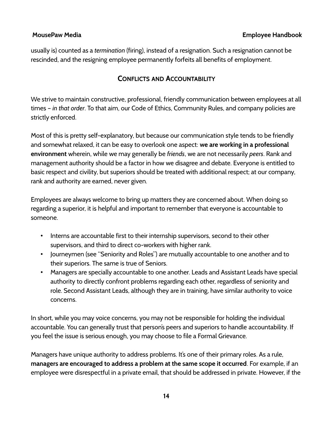usually is) counted as a *termination* (firing), instead of a resignation. Such a resignation cannot be rescinded, and the resigning employee permanently forfeits all benefits of employment.

## **CONFLICTS AND ACCOUNTABILITY**

We strive to maintain constructive, professional, friendly communication between employees at all times – *in that order*. To that aim, our Code of Ethics, Community Rules, and company policies are strictly enforced.

Most of this is pretty self-explanatory, but because our communication style tends to be friendly and somewhat relaxed, it can be easy to overlook one aspect: **we are working in a professional environment** wherein, while we may generally be *friends*, we are not necessarily *peers*. Rank and management authority should be a factor in how we disagree and debate. Everyone is entitled to basic respect and civility, but superiors should be treated with additional respect; at our company, rank and authority are earned, never given.

Employees are always welcome to bring up matters they are concerned about. When doing so regarding a superior, it is helpful and important to remember that everyone is accountable to someone.

- Interns are accountable first to their internship supervisors, second to their other supervisors, and third to direct co-workers with higher rank.
- Journeymen (see "Seniority and Roles") are mutually accountable to one another and to their superiors. The same is true of Seniors.
- Managers are specially accountable to one another. Leads and Assistant Leads have special authority to directly confront problems regarding each other, regardless of seniority and role. Second Assistant Leads, although they are in training, have similar authority to voice concerns.

In short, while you may voice concerns, you may not be responsible for holding the individual accountable. You can generally trust that person's peers and superiors to handle accountability. If you feel the issue is serious enough, you may choose to file a Formal Grievance.

Managers have unique authority to address problems. It's one of their primary roles. As a rule, **managers are encouraged to address a problem at the same scope it occurred**. For example, if an employee were disrespectful in a private email, that should be addressed in private. However, if the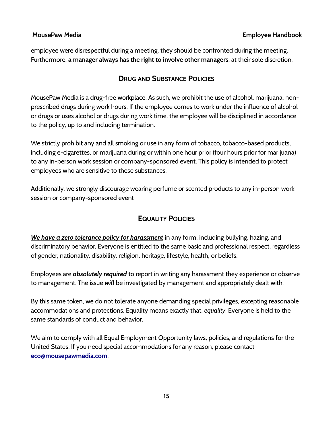employee were disrespectful during a meeting, they should be confronted during the meeting. Furthermore, **a manager always has the right to involve other managers**, at their sole discretion.

## **DRUG AND SUBSTANCE POLICIES**

MousePaw Media is a drug-free workplace. As such, we prohibit the use of alcohol, marijuana, nonprescribed drugs during work hours. If the employee comes to work under the influence of alcohol or drugs or uses alcohol or drugs during work time, the employee will be disciplined in accordance to the policy, up to and including termination.

We strictly prohibit any and all smoking or use in any form of tobacco, tobacco-based products, including e-cigarettes, or marijuana during or within one hour prior (four hours prior for marijuana) to any in-person work session or company-sponsored event. This policy is intended to protect employees who are sensitive to these substances.

Additionally, we strongly discourage wearing perfume or scented products to any in-person work session or company-sponsored event

## **EQUALITY POLICIES**

*We have a zero tolerance policy for harassment* in any form, including bullying, hazing, and discriminatory behavior. Everyone is entitled to the same basic and professional respect, regardless of gender, nationality, disability, religion, heritage, lifestyle, health, or beliefs.

Employees are *absolutely required* to report in writing any harassment they experience or observe to management. The issue *will* be investigated by management and appropriately dealt with.

By this same token, we do not tolerate anyone demanding special privileges, excepting reasonable accommodations and protections. Equality means exactly that: *equality*. Everyone is held to the same standards of conduct and behavior.

We aim to comply with all Equal Employment Opportunity laws, policies, and regulations for the United States. If you need special accommodations for any reason, please contact **[eco@mousepawmedia.com](mailto:eco@mousepawmedia.com)**.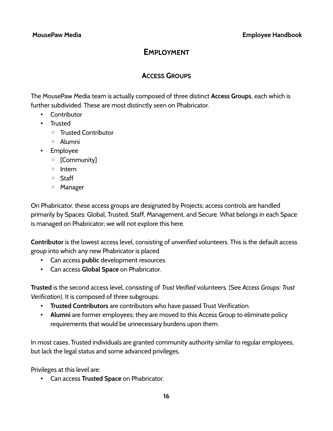# **EMPLOYMENT**

## **ACCESS GROUPS**

The MousePaw Media team is actually composed of three distinct **Access Groups**, each which is further subdivided. These are most distinctly seen on Phabricator.

- Contributor
- Trusted
	- Trusted Contributor
	- Alumni
- Employee
	- [Community]
	- Intern
	- Staff
	- Manager

On Phabricator, these access groups are designated by Projects; access controls are handled primarily by Spaces: Global, Trusted, Staff, Management, and Secure. What belongs in each Space is managed on Phabricator; we will not explore this here.

**Contributor** is the lowest access level, consisting of *unverified* volunteers. This is the default access group into which any new Phabricator is placed.

- Can access **public** development resources.
- Can access **Global Space** on Phabricator.

**Trusted** is the second access level, consisting of *Trust Verified* volunteers. (See *Access Groups: Trust Verification*). It is composed of three subgroups:

- **Trusted Contributors** are contributors who have passed Trust Verification.
- **Alumni** are former employees; they are moved to this Access Group to eliminate policy requirements that would be unnecessary burdens upon them.

In most cases, Trusted individuals are granted community authority similar to regular employees, but lack the legal status and some advanced privileges.

Privileges at this level are:

• Can access **Trusted Space** on Phabricator.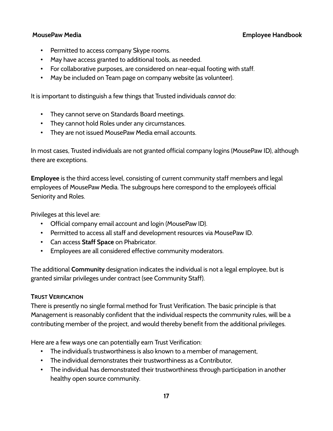- Permitted to access company Skype rooms.
- May have access granted to additional tools, as needed.
- For collaborative purposes, are considered on near-equal footing with staff.
- May be included on Team page on company website (as volunteer).

It is important to distinguish a few things that Trusted individuals *cannot* do:

- They cannot serve on Standards Board meetings.
- They cannot hold Roles under any circumstances.
- They are not issued MousePaw Media email accounts.

In most cases, Trusted individuals are not granted official company logins (MousePaw ID), although there are exceptions.

**Employee** is the third access level, consisting of current community staff members and legal employees of MousePaw Media. The subgroups here correspond to the employee's official Seniority and Roles.

Privileges at this level are:

- Official company email account and login (MousePaw ID).
- Permitted to access all staff and development resources via MousePaw ID.
- Can access **Staff Space** on Phabricator.
- Employees are all considered effective community moderators.

The additional **Community** designation indicates the individual is not a legal employee, but is granted similar privileges under contract (see Community Staff).

## **TRUST VERIFICATION**

There is presently no single formal method for Trust Verification. The basic principle is that Management is reasonably confident that the individual respects the community rules, will be a contributing member of the project, and would thereby benefit from the additional privileges.

Here are a few ways one can potentially earn Trust Verification:

- The individual's trustworthiness is also known to a member of management,
- The individual demonstrates their trustworthiness as a Contributor,
- The individual has demonstrated their trustworthiness through participation in another healthy open source community.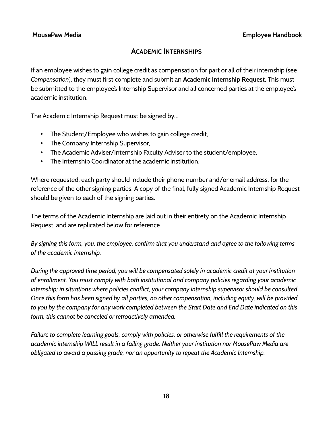## **ACADEMIC INTERNSHIPS**

If an employee wishes to gain college credit as compensation for part or all of their internship (see *Compensation*), they must first complete and submit an **Academic Internship Request**. This must be submitted to the employee's Internship Supervisor and all concerned parties at the employee's academic institution.

The Academic Internship Request must be signed by…

- The Student/Employee who wishes to gain college credit,
- The Company Internship Supervisor,
- The Academic Adviser/Internship Faculty Adviser to the student/employee,
- The Internship Coordinator at the academic institution.

Where requested, each party should include their phone number and/or email address, for the reference of the other signing parties. A copy of the final, fully signed Academic Internship Request should be given to each of the signing parties.

The terms of the Academic Internship are laid out in their entirety on the Academic Internship Request, and are replicated below for reference.

*By signing this form, you, the employee, confirm that you understand and agree to the following terms of the academic internship.*

*During the approved time period, you will be compensated solely in academic credit at your institution of enrollment. You must comply with both institutional and company policies regarding your academic internship; in situations where policies conflict, your company internship supervisor should be consulted. Once this form has been signed by all parties, no other compensation, including equity, will be provided to you by the company for any work completed between the Start Date and End Date indicated on this form; this cannot be canceled or retroactively amended.*

*Failure to complete learning goals, comply with policies, or otherwise fulfill the requirements of the academic internship WILL result in a failing grade. Neither your institution nor MousePaw Media are obligated to award a passing grade, nor an opportunity to repeat the Academic Internship.*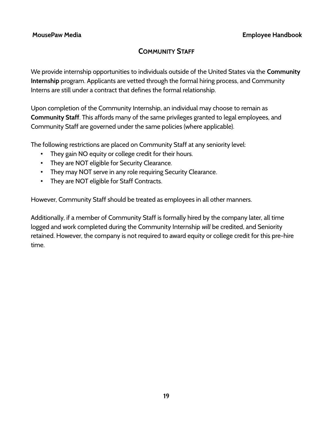# **COMMUNITY STAFF**

We provide internship opportunities to individuals outside of the United States via the **Community Internship** program. Applicants are vetted through the formal hiring process, and Community Interns are still under a contract that defines the formal relationship.

Upon completion of the Community Internship, an individual may choose to remain as **Community Staff**. This affords many of the same privileges granted to legal employees, and Community Staff are governed under the same policies (where applicable).

The following restrictions are placed on Community Staff at any seniority level:

- They gain NO equity or college credit for their hours.
- They are NOT eligible for Security Clearance.
- They may NOT serve in any role requiring Security Clearance.
- They are NOT eligible for Staff Contracts.

However, Community Staff should be treated as employees in all other manners.

Additionally, if a member of Community Staff is formally hired by the company later, all time logged and work completed during the Community Internship *will* be credited, and Seniority retained. However, the company is not required to award equity or college credit for this pre-hire time.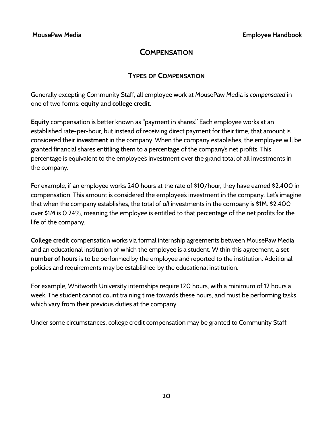# **COMPENSATION**

## **TYPES OF COMPENSATION**

Generally excepting Community Staff, all employee work at MousePaw Media is *compensated* in one of two forms: **equity** and **college credit**.

**Equity** compensation is better known as "payment in shares." Each employee works at an established rate-per-hour, but instead of receiving direct payment for their time, that amount is considered their **investment** in the company. When the company establishes, the employee will be granted financial shares entitling them to a percentage of the company's net profits. This percentage is equivalent to the employee's investment over the grand total of all investments in the company.

For example, if an employee works 240 hours at the rate of \$10/hour, they have earned \$2,400 in compensation. This amount is considered the employee's investment in the company. Let's imagine that when the company establishes, the total of *all* investments in the company is \$1M. \$2,400 over \$1M is 0.24%, meaning the employee is entitled to that percentage of the net profits for the life of the company.

**College credit** compensation works via formal internship agreements between MousePaw Media and an educational institution of which the employee is a student. Within this agreement, a **set number of hours** is to be performed by the employee and reported to the institution. Additional policies and requirements may be established by the educational institution.

For example, Whitworth University internships require 120 hours, with a minimum of 12 hours a week. The student cannot count training time towards these hours, and must be performing tasks which vary from their previous duties at the company.

Under some circumstances, college credit compensation may be granted to Community Staff.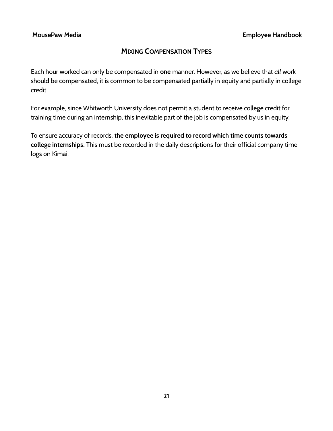## **MIXING COMPENSATION TYPES**

Each hour worked can only be compensated in **one** manner. However, as we believe that *all* work should be compensated, it is common to be compensated partially in equity and partially in college credit.

For example, since Whitworth University does not permit a student to receive college credit for training time during an internship, this inevitable part of the job is compensated by us in equity.

To ensure accuracy of records, **the employee is required to record which time counts towards college internships.** This must be recorded in the daily descriptions for their official company time logs on Kimai.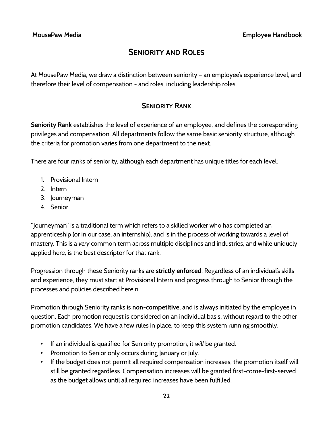# **SENIORITY AND ROLES**

At MousePaw Media, we draw a distinction between seniority – an employee's experience level, and therefore their level of compensation - and roles, including leadership roles.

## **SENIORITY RANK**

**Seniority Rank** establishes the level of experience of an employee, and defines the corresponding privileges and compensation. All departments follow the same basic seniority structure, although the criteria for promotion varies from one department to the next.

There are four ranks of seniority, although each department has unique titles for each level:

- 1. Provisional Intern
- 2. Intern
- 3. Journeyman
- 4. Senior

"Journeyman" is a traditional term which refers to a skilled worker who has completed an apprenticeship (or in our case, an internship), and is in the process of working towards a level of mastery. This is a *very* common term across multiple disciplines and industries, and while uniquely applied here, is the best descriptor for that rank.

Progression through these Seniority ranks are **strictly enforced**. Regardless of an individual's skills and experience, they must start at Provisional Intern and progress through to Senior through the processes and policies described herein.

Promotion through Seniority ranks is **non-competitive**, and is always initiated by the employee in question. Each promotion request is considered on an individual basis, without regard to the other promotion candidates. We have a few rules in place, to keep this system running smoothly:

- If an individual is qualified for Seniority promotion, it *will* be granted.
- Promotion to Senior only occurs during January or July.
- If the budget does not permit all required compensation increases, the promotion itself will still be granted regardless. Compensation increases will be granted first-come-first-served as the budget allows until all required increases have been fulfilled.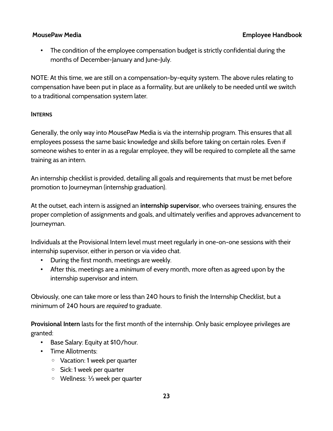• The condition of the employee compensation budget is strictly confidential during the months of December-January and June-July.

NOTE: At this time, we are still on a compensation-by-equity system. The above rules relating to compensation have been put in place as a formality, but are unlikely to be needed until we switch to a traditional compensation system later.

## **INTERNS**

Generally, the only way into MousePaw Media is via the internship program. This ensures that all employees possess the same basic knowledge and skills before taking on certain roles. Even if someone wishes to enter in as a regular employee, they will be required to complete all the same training as an intern.

An internship checklist is provided, detailing all goals and requirements that must be met before promotion to Journeyman (internship graduation).

At the outset, each intern is assigned an **internship supervisor**, who oversees training, ensures the proper completion of assignments and goals, and ultimately verifies and approves advancement to Journeyman.

Individuals at the Provisional Intern level must meet regularly in one-on-one sessions with their internship supervisor, either in person or via video chat.

- During the first month, meetings are weekly.
- After this, meetings are a *minimum* of every month, more often as agreed upon by the internship supervisor and intern.

Obviously, one can take more or less than 240 hours to finish the Internship Checklist, but a minimum of 240 hours are *required* to graduate.

**Provisional Intern** lasts for the first month of the internship. Only basic employee privileges are granted:

- Base Salary: Equity at \$10/hour.
- Time Allotments:
	- Vacation: 1 week per quarter
	- Sick: 1 week per quarter
	- Wellness: week per quarter ⅓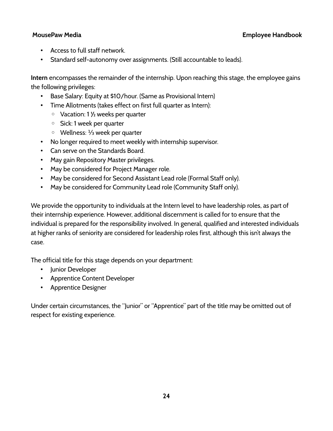- Access to full staff network.
- Standard self-autonomy over assignments. (Still accountable to leads).

**Intern** encompasses the remainder of the internship. Upon reaching this stage, the employee gains the following privileges:

- Base Salary: Equity at \$10/hour. (Same as Provisional Intern)
- Time Allotments (takes effect on first full quarter as Intern):
	- Vacation: 1 ½ weeks per quarter
	- Sick: 1 week per quarter
	- Wellness: week per quarter ⅓
- No longer required to meet weekly with internship supervisor.
- Can serve on the Standards Board.
- May gain Repository Master privileges.
- May be considered for Project Manager role.
- May be considered for Second Assistant Lead role (Formal Staff only).
- May be considered for Community Lead role (Community Staff only).

We provide the opportunity to individuals at the Intern level to have leadership roles, as part of their internship experience. However, additional discernment is called for to ensure that the individual is prepared for the responsibility involved. In general, qualified and interested individuals at higher ranks of seniority are considered for leadership roles first, although this isn't always the case.

The official title for this stage depends on your department:

- Junior Developer
- Apprentice Content Developer
- Apprentice Designer

Under certain circumstances, the "Junior" or "Apprentice" part of the title may be omitted out of respect for existing experience.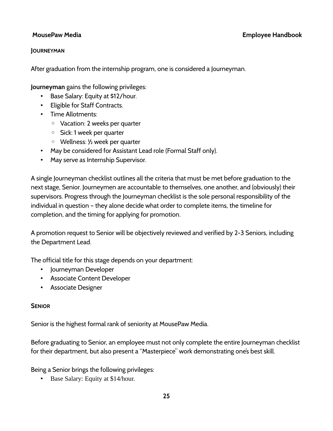## **JOURNEYMAN**

After graduation from the internship program, one is considered a Journeyman.

**Journeyman** gains the following privileges:

- Base Salary: Equity at \$12/hour.
- Eligible for Staff Contracts.
- Time Allotments:
	- Vacation: 2 weeks per quarter
	- Sick: 1 week per quarter
	- Wellness: ½ week per quarter
- May be considered for Assistant Lead role (Formal Staff only).
- May serve as Internship Supervisor.

A single Journeyman checklist outlines all the criteria that must be met before graduation to the next stage, Senior. Journeymen are accountable to themselves, one another, and (obviously) their supervisors. Progress through the Journeyman checklist is the sole personal responsibility of the individual in question – they alone decide what order to complete items, the timeline for completion, and the timing for applying for promotion.

A promotion request to Senior will be objectively reviewed and verified by 2-3 Seniors, including the Department Lead.

The official title for this stage depends on your department:

- Journeyman Developer
- Associate Content Developer
- Associate Designer

## **SENIOR**

Senior is the highest formal rank of seniority at MousePaw Media.

Before graduating to Senior, an employee must not only complete the entire Journeyman checklist for their department, but also present a "Masterpiece" work demonstrating one's best skill.

Being a Senior brings the following privileges:

• Base Salary: Equity at \$14/hour.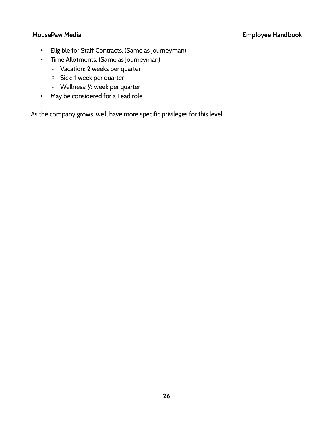- Eligible for Staff Contracts. (Same as Journeyman)
- Time Allotments: (Same as Journeyman)
	- Vacation: 2 weeks per quarter
	- Sick: 1 week per quarter
	- Wellness: ½ week per quarter
- May be considered for a Lead role.

As the company grows, we'll have more specific privileges for this level.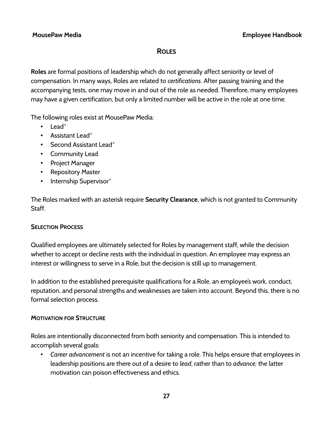## **ROLES**

**Roles** are formal positions of leadership which do not generally affect seniority or level of compensation. In many ways, Roles are related to *certifications*. After passing training and the accompanying tests, one may move in and out of the role as needed. Therefore, many employees may have a given certification, but only a limited number will be active in the role at one time.

The following roles exist at MousePaw Media:

- Lead $*$
- Assistant Lead\*
- Second Assistant Lead $*$
- Community Lead
- Project Manager
- Repository Master
- Internship Supervisor\*

The Roles marked with an asterisk require **Security Clearance**, which is not granted to Community Staff.

## **SELECTION PROCESS**

Qualified employees are ultimately selected for Roles by management staff, while the decision whether to accept or decline rests with the individual in question. An employee may express an interest or willingness to serve in a Role, but the decision is still up to management.

In addition to the established prerequisite qualifications for a Role, an employee's work, conduct, reputation, and personal strengths and weaknesses are taken into account. Beyond this, there is no formal selection process.

## **MOTIVATION FOR STRUCTURE**

Roles are intentionally disconnected from both seniority and compensation. This is intended to accomplish several goals:

• *Career advancement* is not an incentive for taking a role. This helps ensure that employees in leadership positions are there out of a desire to *lead*, rather than to *advance;* the latter motivation can poison effectiveness and ethics.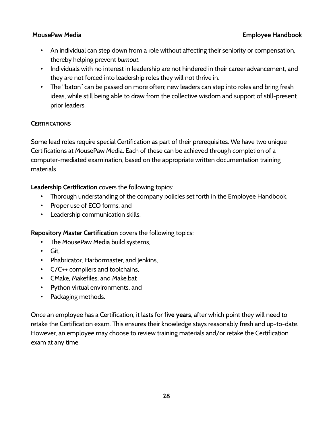- An individual can step down from a role without affecting their seniority or compensation, thereby helping prevent *burnout*.
- Individuals with no interest in leadership are not hindered in their career advancement, and they are not forced into leadership roles they will not thrive in.
- The "baton" can be passed on more often; new leaders can step into roles and bring fresh ideas, while still being able to draw from the collective wisdom and support of still-present prior leaders.

## **CERTIFICATIONS**

Some lead roles require special Certification as part of their prerequisites. We have two unique Certifications at MousePaw Media. Each of these can be achieved through completion of a computer-mediated examination, based on the appropriate written documentation training materials.

**Leadership Certification** covers the following topics:

- Thorough understanding of the company policies set forth in the Employee Handbook,
- Proper use of ECO forms, and
- Leadership communication skills.

**Repository Master Certification** covers the following topics:

- The MousePaw Media build systems,
- Git,
- Phabricator, Harbormaster, and Jenkins,
- C/C++ compilers and toolchains,
- CMake, Makefiles, and Make.bat
- Python virtual environments, and
- Packaging methods.

Once an employee has a Certification, it lasts for **five years**, after which point they will need to retake the Certification exam. This ensures their knowledge stays reasonably fresh and up-to-date. However, an employee may choose to review training materials and/or retake the Certification exam at any time.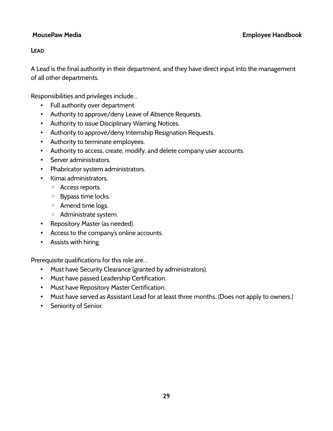## **LEAD**

A Lead is the final authority in their department, and they have direct input into the management of all other departments.

Responsibilities and privileges include...

- Full authority over department.
- Authority to approve/deny Leave of Absence Requests.
- Authority to issue Disciplinary Warning Notices.
- Authority to approve/deny Internship Resignation Requests.
- Authority to terminate employees.
- Authority to access, create, modify, and delete company user accounts.
- Server administrators.
- Phabricator system administrators.
- Kimai administrators.
	- Access reports.
	- Bypass time locks.
	- Amend time logs.
	- Administrate system.
- Repository Master (as needed).
- Access to the company's online accounts.
- Assists with hiring.

- Must have Security Clearance (granted by administrators).
- Must have passed Leadership Certification.
- Must have Repository Master Certification.
- Must have served as Assistant Lead for at least three months. (Does not apply to owners.)
- Seniority of Senior.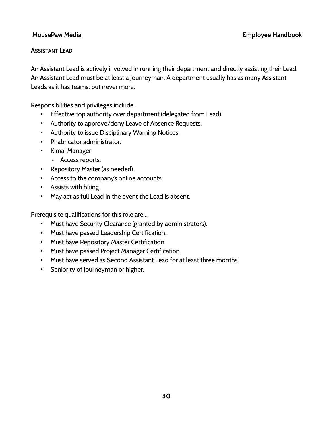## **ASSISTANT LEAD**

An Assistant Lead is actively involved in running their department and directly assisting their Lead. An Assistant Lead must be at least a Journeyman. A department usually has as many Assistant Leads as it has teams, but never more.

Responsibilities and privileges include...

- Effective top authority over department (delegated from Lead).
- Authority to approve/deny Leave of Absence Requests.
- Authority to issue Disciplinary Warning Notices.
- Phabricator administrator.
- Kimai Manager
	- Access reports.
- Repository Master (as needed).
- Access to the company's online accounts.
- Assists with hiring.
- May act as full Lead in the event the Lead is absent.

- Must have Security Clearance (granted by administrators).
- Must have passed Leadership Certification.
- Must have Repository Master Certification.
- Must have passed Project Manager Certification.
- Must have served as Second Assistant Lead for at least three months.
- Seniority of Journeyman or higher.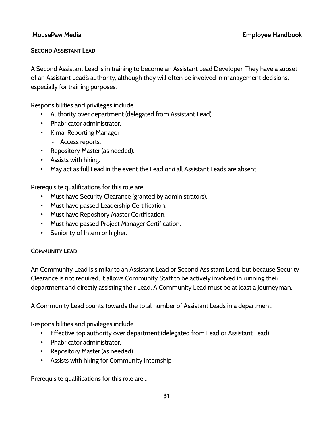## **SECOND ASSISTANT LEAD**

A Second Assistant Lead is in training to become an Assistant Lead Developer. They have a subset of an Assistant Lead's authority, although they will often be involved in management decisions, especially for training purposes.

Responsibilities and privileges include...

- Authority over department (delegated from Assistant Lead).
- Phabricator administrator.
- Kimai Reporting Manager
	- Access reports.
- Repository Master (as needed).
- Assists with hiring.
- May act as full Lead in the event the Lead *and* all Assistant Leads are absent.

Prerequisite qualifications for this role are…

- Must have Security Clearance (granted by administrators).
- Must have passed Leadership Certification.
- Must have Repository Master Certification.
- Must have passed Project Manager Certification.
- Seniority of Intern or higher.

## **COMMUNITY LEAD**

An Community Lead is similar to an Assistant Lead or Second Assistant Lead, but because Security Clearance is not required, it allows Community Staff to be actively involved in running their department and directly assisting their Lead. A Community Lead must be at least a Journeyman.

A Community Lead counts towards the total number of Assistant Leads in a department.

Responsibilities and privileges include...

- Effective top authority over department (delegated from Lead or Assistant Lead).
- Phabricator administrator.
- Repository Master (as needed).
- Assists with hiring for Community Internship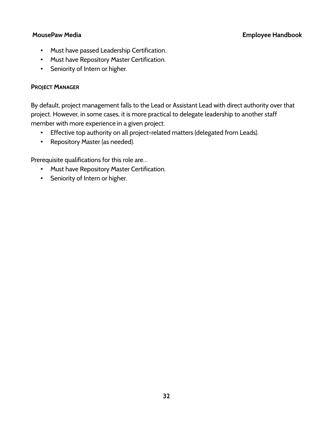- Must have passed Leadership Certification.
- Must have Repository Master Certification.
- Seniority of Intern or higher.

## **PROJECT MANAGER**

By default, project management falls to the Lead or Assistant Lead with direct authority over that project. However, in some cases, it is more practical to delegate leadership to another staff member with more experience in a given project.

- Effective top authority on all project-related matters (delegated from Leads).
- Repository Master (as needed).

- Must have Repository Master Certification.
- Seniority of Intern or higher.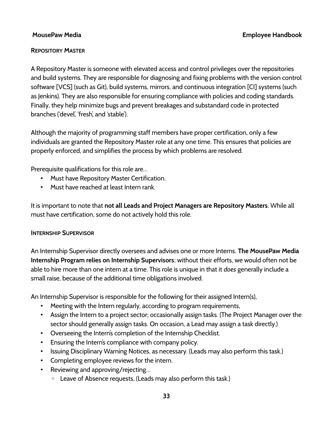## **REPOSITORY MASTER**

A Repository Master is someone with elevated access and control privileges over the repositories and build systems. They are responsible for diagnosing and fixing problems with the version control software [VCS] (such as Git), build systems, mirrors, and continuous integration [CI] systems (such as Jenkins). They are also responsible for ensuring compliance with policies and coding standards. Finally, they help minimize bugs and prevent breakages and substandard code in protected branches ('devel', 'fresh', and 'stable').

Although the majority of programming staff members have proper certification, only a few individuals are granted the Repository Master role at any one time. This ensures that policies are properly enforced, and simplifies the process by which problems are resolved.

Prerequisite qualifications for this role are…

- Must have Repository Master Certification.
- Must have reached at least Intern rank.

It is important to note that **not all Leads and Project Managers are Repository Masters**. While all must have certification, some do not actively hold this role.

## **INTERNSHIP SUPERVISOR**

An Internship Supervisor directly oversees and advises one or more Interns. **The MousePaw Media Internship Program relies on Internship Supervisors**; without their efforts, we would often not be able to hire more than one intern at a time. This role is unique in that it *does* generally include a small raise, because of the additional time obligations involved.

An Internship Supervisor is responsible for the following for their assigned Intern(s),

- Meeting with the Intern regularly, according to program requirements,
- Assign the Intern to a project sector; occasionally assign tasks. (The Project Manager over the sector should generally assign tasks. On occasion, a Lead may assign a task directly.)
- Overseeing the Intern's completion of the Internship Checklist.
- Ensuring the Intern's compliance with company policy.
- Issuing Disciplinary Warning Notices, as necessary. (Leads may also perform this task.)
- Completing employee reviews for the intern.
- Reviewing and approving/rejecting...
	- Leave of Absence requests, (Leads may also perform this task.)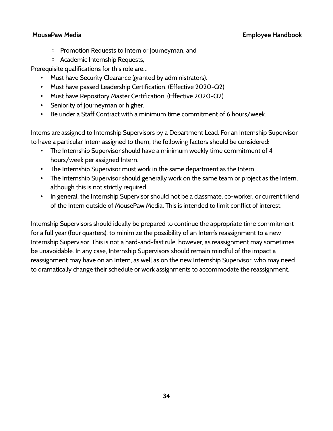- Promotion Requests to Intern or Journeyman, and
- Academic Internship Requests,

Prerequisite qualifications for this role are…

- Must have Security Clearance (granted by administrators).
- Must have passed Leadership Certification. (Effective 2020-Q2)
- Must have Repository Master Certification. (Effective 2020-Q2)
- Seniority of Journeyman or higher.
- Be under a Staff Contract with a minimum time commitment of 6 hours/week.

Interns are assigned to Internship Supervisors by a Department Lead. For an Internship Supervisor to have a particular Intern assigned to them, the following factors should be considered:

- The Internship Supervisor should have a minimum weekly time commitment of 4 hours/week per assigned Intern.
- The Internship Supervisor must work in the same department as the Intern.
- The Internship Supervisor should generally work on the same team or project as the Intern, although this is not strictly required.
- In general, the Internship Supervisor should not be a classmate, co-worker, or current friend of the Intern outside of MousePaw Media. This is intended to limit conflict of interest.

Internship Supervisors should ideally be prepared to continue the appropriate time commitment for a full year (four quarters), to minimize the possibility of an Intern's reassignment to a new Internship Supervisor. This is not a hard-and-fast rule, however, as reassignment may sometimes be unavoidable. In any case, Internship Supervisors should remain mindful of the impact a reassignment may have on an Intern, as well as on the new Internship Supervisor, who may need to dramatically change their schedule or work assignments to accommodate the reassignment.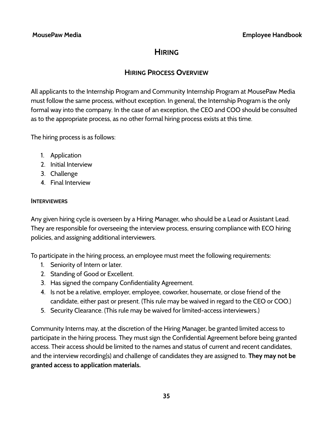# **HIRING**

## **HIRING PROCESS OVERVIEW**

All applicants to the Internship Program and Community Internship Program at MousePaw Media must follow the same process, without exception. In general, the Internship Program is the only formal way into the company. In the case of an exception, the CEO and COO should be consulted as to the appropriate process, as no other formal hiring process exists at this time.

The hiring process is as follows:

- 1. Application
- 2. Initial Interview
- 3. Challenge
- 4. Final Interview

## **INTERVIEWERS**

Any given hiring cycle is overseen by a Hiring Manager, who should be a Lead or Assistant Lead. They are responsible for overseeing the interview process, ensuring compliance with ECO hiring policies, and assigning additional interviewers.

To participate in the hiring process, an employee must meet the following requirements:

- 1. Seniority of Intern or later.
- 2. Standing of Good or Excellent.
- 3. Has signed the company Confidentiality Agreement.
- 4. Is not be a relative, employer, employee, coworker, housemate, or close friend of the candidate, either past or present. (This rule may be waived in regard to the CEO or COO.)
- 5. Security Clearance. (This rule may be waived for limited-access interviewers.)

Community Interns may, at the discretion of the Hiring Manager, be granted limited access to participate in the hiring process. They must sign the Confidential Agreement before being granted access. Their access should be limited to the names and status of current and recent candidates, and the interview recording(s) and challenge of candidates they are assigned to. **They may not be granted access to application materials.**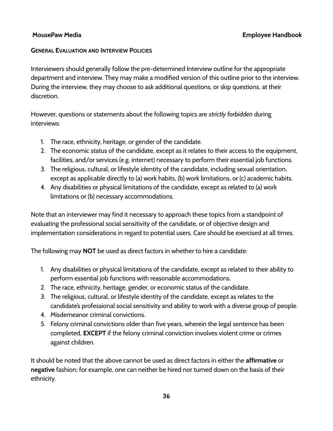### **GENERAL EVALUATION AND INTERVIEW POLICIES**

Interviewers should generally follow the pre-determined Interview outline for the appropriate department and interview. They may make a modified version of this outline prior to the interview. During the interview, they may choose to ask additional questions, or skip questions, at their discretion.

However, questions or statements about the following topics are *strictly forbidden* during interviews:

- 1. The race, ethnicity, heritage, or gender of the candidate.
- 2. The economic status of the candidate, except as it relates to their access to the equipment, facilities, and/or services (e.g. internet) necessary to perform their essential job functions.
- 3. The religious, cultural, or lifestyle identity of the candidate, including sexual orientation, except as applicable directly to (a) work habits, (b) work limitations, or (c) academic habits.
- 4. Any disabilities or physical limitations of the candidate, except as related to (a) work limitations or (b) necessary accommodations.

Note that an interviewer may find it necessary to approach these topics from a standpoint of evaluating the professional social sensitivity of the candidate, or of objective design and implementation considerations in regard to potential users. Care should be exercised at all times.

The following may **NOT** be used as direct factors in whether to hire a candidate:

- 1. Any disabilities or physical limitations of the candidate, except as related to their ability to perform essential job functions with reasonable accommodations.
- 2. The race, ethnicity, heritage, gender, or economic status of the candidate.
- 3. The religious, cultural, or lifestyle identity of the candidate, except as relates to the candidate's professional social sensitivity and ability to work with a diverse group of people.
- 4. Misdemeanor criminal convictions.
- 5. Felony criminal convictions older than five years, wherein the legal sentence has been completed, **EXCEPT** if the felony criminal conviction involves violent crime or crimes against children.

It should be noted that the above cannot be used as direct factors in either the **affirmative** or **negative** fashion; for example, one can neither be hired nor turned down on the basis of their ethnicity.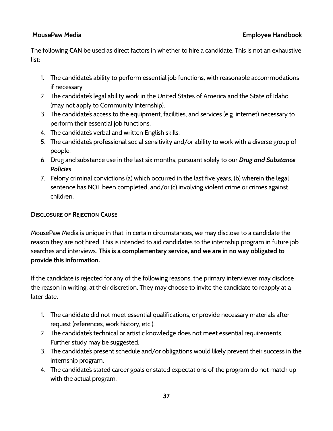The following **CAN** be used as direct factors in whether to hire a candidate. This is not an exhaustive list:

- 1. The candidate's ability to perform essential job functions, with reasonable accommodations if necessary.
- 2. The candidate's legal ability work in the United States of America and the State of Idaho. (may not apply to Community Internship).
- 3. The candidate's access to the equipment, facilities, and services (e.g. internet) necessary to perform their essential job functions.
- 4. The candidate's verbal and written English skills.
- 5. The candidate's professional social sensitivity and/or ability to work with a diverse group of people.
- 6. Drug and substance use in the last six months, pursuant solely to our *Drug and Substance Policies*.
- 7. Felony criminal convictions (a) which occurred in the last five years, (b) wherein the legal sentence has NOT been completed, and/or (c) involving violent crime or crimes against children.

## **DISCLOSURE OF REJECTION CAUSE**

MousePaw Media is unique in that, in certain circumstances, we may disclose to a candidate the reason they are not hired. This is intended to aid candidates to the internship program in future job searches and interviews. **This is a complementary service, and we are in no way obligated to provide this information.**

If the candidate is rejected for any of the following reasons, the primary interviewer may disclose the reason in writing, at their discretion. They may choose to invite the candidate to reapply at a later date.

- 1. The candidate did not meet essential qualifications, or provide necessary materials after request (references, work history, etc.).
- 2. The candidate's technical or artistic knowledge does not meet essential requirements, Further study may be suggested.
- 3. The candidate's present schedule and/or obligations would likely prevent their success in the internship program.
- 4. The candidate's stated career goals or stated expectations of the program do not match up with the actual program.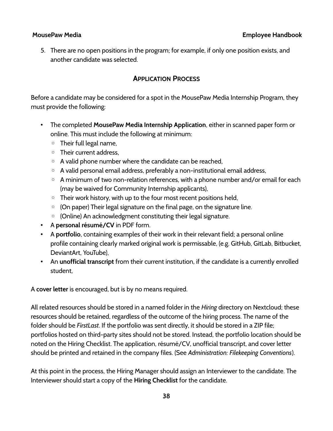5. There are no open positions in the program; for example, if only one position exists, and another candidate was selected.

## **APPLICATION PROCESS**

Before a candidate may be considered for a spot in the MousePaw Media Internship Program, they must provide the following:

- The completed **MousePaw Media Internship Application**, either in scanned paper form or online. This must include the following at minimum:
	- Their full legal name,
	- Their current address,
	- A valid phone number where the candidate can be reached,
	- A valid personal email address, preferably a non-institutional email address,
	- A minimum of two non-relation references, with a phone number and/or email for each (may be waived for Community Internship applicants),
	- Their work history, with up to the four most recent positions held,
	- (On paper) Their legal signature on the final page, on the signature line.
	- (Online) An acknowledgment constituting their legal signature.
- A **personal résumé/CV** in PDF form.
- A **portfolio**, containing examples of their work in their relevant field; a personal online profile containing clearly marked original work is permissable, (e.g. GitHub, GitLab, Bitbucket, DeviantArt, YouTube),
- An **unofficial transcript** from their current institution, if the candidate is a currently enrolled student,

A **cover letter** is encouraged, but is by no means required.

All related resources should be stored in a named folder in the *Hiring* directory on Nextcloud; these resources should be retained, regardless of the outcome of the hiring process. The name of the folder should be *FirstLast*. If the portfolio was sent directly, it should be stored in a ZIP file; portfolios hosted on third-party sites should not be stored. Instead, the portfolio location should be noted on the Hiring Checklist. The application, résumé/CV, unofficial transcript, and cover letter should be printed and retained in the company files. (See *Administration: Filekeeping Conventions*).

At this point in the process, the Hiring Manager should assign an Interviewer to the candidate. The Interviewer should start a copy of the **Hiring Checklist** for the candidate.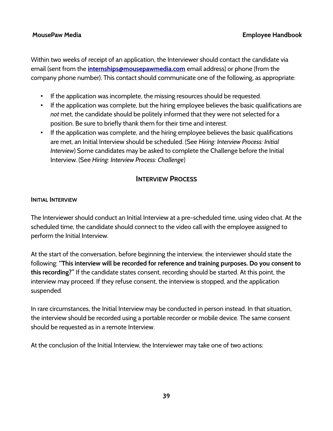Within two weeks of receipt of an application, the Interviewer should contact the candidate via email (sent from the **[internships@mousepawmedia.com](mailto:internships@mousepawmedia.com)** email address) or phone (from the company phone number). This contact should communicate one of the following, as appropriate:

- If the application was incomplete, the missing resources should be requested.
- If the application was complete, but the hiring employee believes the basic qualifications are *not* met, the candidate should be politely informed that they were not selected for a position. Be sure to briefly thank them for their time and interest.
- If the application was complete, and the hiring employee believes the basic qualifications are met, an Initial Interview should be scheduled. (See *Hiring: Interview Process: Initial Interview*) Some candidates may be asked to complete the Challenge before the Initial Interview. (See *Hiring: Interview Process: Challenge*)

## **INTERVIEW PROCESS**

## **INITIAL INTERVIEW**

The Interviewer should conduct an Initial Interview at a pre-scheduled time, using video chat. At the scheduled time, the candidate should connect to the video call with the employee assigned to perform the Initial Interview.

At the start of the conversation, before beginning the interview, the interviewer should state the following: **"This interview will be recorded for reference and training purposes. Do you consent to this recording?"** If the candidate states consent, recording should be started. At this point, the interview may proceed. If they refuse consent, the interview is stopped, and the application suspended.

In rare circumstances, the Initial Interview may be conducted in person instead. In that situation, the interview should be recorded using a portable recorder or mobile device. The same consent should be requested as in a remote Interview.

At the conclusion of the Initial Interview, the Interviewer may take one of two actions: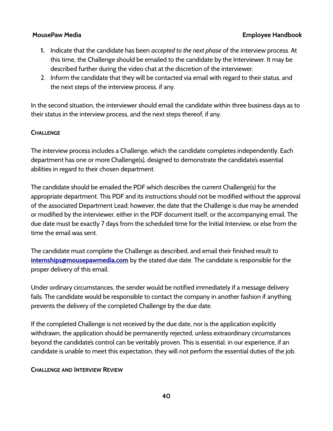- **1.** Indicate that the candidate has been *accepted to the next phase* of the interview process. At this time, the Challenge should be emailed to the candidate by the Interviewer. It may be described further during the video chat at the discretion of the interviewer.
- 2. Inform the candidate that they will be contacted via email with regard to their status, and the next steps of the interview process, if any.

In the second situation, the interviewer should email the candidate within three business days as to their status in the interview process, and the next steps thereof, if any.

### **CHALLENGE**

The interview process includes a Challenge, which the candidate completes independently. Each department has one or more Challenge(s), designed to demonstrate the candidate's essential abilities in regard to their chosen department.

The candidate should be emailed the PDF which describes the current Challenge(s) for the appropriate department. This PDF and its instructions should not be modified without the approval of the associated Department Lead; however, the date that the Challenge is due may be amended or modified by the interviewer, either in the PDF document itself, or the accompanying email. The due date must be exactly 7 days from the scheduled time for the Initial Interview, or else from the time the email was sent.

The candidate must complete the Challenge as described, and email their finished result to **[internships@mousepawmedia.com](mailto:internships@mousepawmedia.com)** by the stated due date. The candidate is responsible for the proper delivery of this email.

Under ordinary circumstances, the sender would be notified immediately if a message delivery fails. The candidate would be responsible to contact the company in another fashion if anything prevents the delivery of the completed Challenge by the due date.

If the completed Challenge is not received by the due date, nor is the application explicitly withdrawn, the application should be permanently rejected, unless extraordinary circumstances beyond the candidate's control can be veritably proven. This is essential: in our experience, if an candidate is unable to meet this expectation, they will not perform the essential duties of the job.

### **CHALLENGE AND INTERVIEW REVIEW**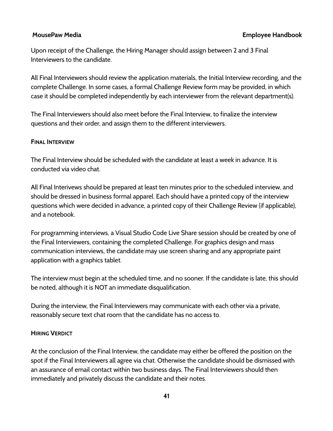Upon receipt of the Challenge, the Hiring Manager should assign between 2 and 3 Final Interviewers to the candidate.

All Final Interviewers should review the application materials, the Initial Interview recording, and the complete Challenge. In some cases, a formal Challenge Review form may be provided, in which case it should be completed independently by each interviewer from the relevant department(s).

The Final Interviewers should also meet before the Final Interview, to finalize the interview questions and their order, and assign them to the different interviewers.

### **FINAL INTERVIEW**

The Final Interview should be scheduled with the candidate at least a week in advance. It is conducted via video chat.

All Final Interivews should be prepared at least ten minutes prior to the scheduled interview, and should be dressed in business formal apparel. Each should have a printed copy of the interview questions which were decided in advance, a printed copy of their Challenge Review (if applicable), and a notebook.

For programming interviews, a Visual Studio Code Live Share session should be created by one of the Final Interviewers, containing the completed Challenge. For graphics design and mass communication interviews, the candidate may use screen sharing and any appropriate paint application with a graphics tablet.

The interview must begin at the scheduled time, and no sooner. If the candidate is late, this should be noted, although it is NOT an immediate disqualification.

During the interview, the Final Interviewers may communicate with each other via a private, reasonably secure text chat room that the candidate has no access to.

## **HIRING VERDICT**

At the conclusion of the Final Interview, the candidate may either be offered the position on the spot if the Final Interviewers all agree via chat. Otherwise the candidate should be dismissed with an assurance of email contact within two business days. The Final Interviewers should then immediately and privately discuss the candidate and their notes.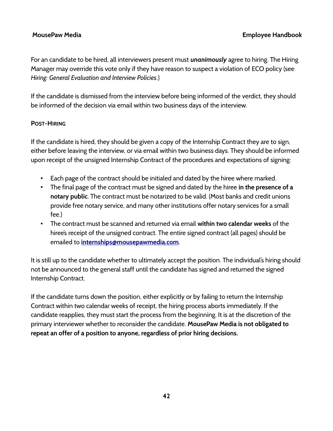For an candidate to be hired, all interviewers present must *unanimously* agree to hiring. The Hiring Manager may override this vote only if they have reason to suspect a violation of ECO policy (see *Hiring: General Evaluation and Interview Policies*.)

If the candidate is dismissed from the interview before being informed of the verdict, they should be informed of the decision via email within two business days of the interview.

### **POST-HIRING**

If the candidate is hired, they should be given a copy of the Internship Contract they are to sign, either before leaving the interview, or via email within two business days. They should be informed upon receipt of the unsigned Internship Contract of the procedures and expectations of signing:

- Each page of the contract should be initialed and dated by the hiree where marked.
- The final page of the contract must be signed and dated by the hiree **in the presence of a notary public**. The contract must be notarized to be valid. (Most banks and credit unions provide free notary service, and many other institutions offer notary services for a small fee.)
- The contract must be scanned and returned via email **within two calendar weeks** of the hiree's receipt of the unsigned contract. The entire signed contract (all pages) should be emailed to **[internships@mousepawmedia.com](mailto:internships@mousepawmedia.com)**.

It is still up to the candidate whether to ultimately accept the position. The individual's hiring should not be announced to the general staff until the candidate has signed and returned the signed Internship Contract.

If the candidate turns down the position, either explicitly or by failing to return the Internship Contract within two calendar weeks of receipt, the hiring process aborts immediately. If the candidate reapplies, they must start the process from the beginning. It is at the discretion of the primary interviewer whether to reconsider the candidate. **MousePaw Media is not obligated to repeat an offer of a position to anyone, regardless of prior hiring decisions.**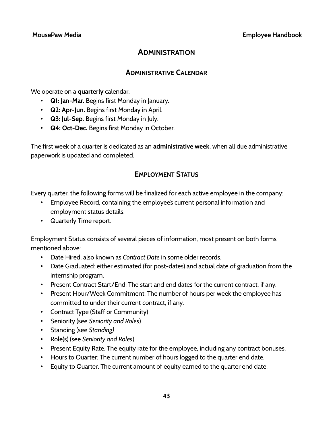## **ADMINISTRATION**

## **ADMINISTRATIVE CALENDAR**

We operate on a **quarterly** calendar:

- **Q1: Jan-Mar.** Begins first Monday in January.
- **Q2: Apr-Jun.** Begins first Monday in April.
- **Q3: Jul-Sep.** Begins first Monday in July.
- **Q4: Oct-Dec.** Begins first Monday in October.

The first week of a quarter is dedicated as an **administrative week**, when all due administrative paperwork is updated and completed.

## **EMPLOYMENT STATUS**

Every quarter, the following forms will be finalized for each active employee in the company:

- Employee Record, containing the employee's current personal information and employment status details.
- Quarterly Time report.

Employment Status consists of several pieces of information, most present on both forms mentioned above:

- Date Hired, also known as *Contract Date* in some older records.
- Date Graduated: either estimated (for post-dates) and actual date of graduation from the internship program.
- Present Contract Start/End: The start and end dates for the current contract, if any.
- Present Hour/Week Commitment: The number of hours per week the employee has committed to under their current contract, if any.
- Contract Type (Staff or Community)
- Seniority (see *Seniority and Roles*)
- Standing (see *Standing)*
- Role(s) (see *Seniority and Roles*)
- Present Equity Rate: The equity rate for the employee, including any contract bonuses.
- Hours to Quarter: The current number of hours logged to the quarter end date.
- Equity to Quarter: The current amount of equity earned to the quarter end date.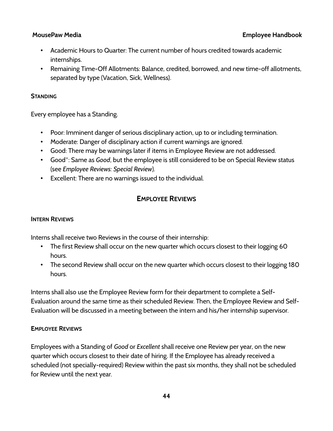- Academic Hours to Quarter: The current number of hours credited towards academic internships.
- Remaining Time-Off Allotments: Balance, credited, borrowed, and new time-off allotments, separated by type (Vacation, Sick, Wellness).

## **STANDING**

Every employee has a Standing.

- Poor: Imminent danger of serious disciplinary action, up to or including termination.
- Moderate: Danger of disciplinary action if current warnings are ignored.
- Good: There may be warnings later if items in Employee Review are not addressed.
- Good\*: Same as *Good*, but the employee is still considered to be on Special Review status (see *Employee Reviews: Special Review*).
- Excellent: There are no warnings issued to the individual.

## **EMPLOYEE REVIEWS**

## **INTERN REVIEWS**

Interns shall receive two Reviews in the course of their internship:

- The first Review shall occur on the new quarter which occurs closest to their logging 60 hours.
- The second Review shall occur on the new quarter which occurs closest to their logging 180 hours.

Interns shall also use the Employee Review form for their department to complete a Self-Evaluation around the same time as their scheduled Review. Then, the Employee Review and Self-Evaluation will be discussed in a meeting between the intern and his/her internship supervisor.

## **EMPLOYEE REVIEWS**

Employees with a Standing of *Good* or *Excellent* shall receive one Review per year, on the new quarter which occurs closest to their date of hiring. If the Employee has already received a scheduled (not specially-required) Review within the past six months, they shall not be scheduled for Review until the next year.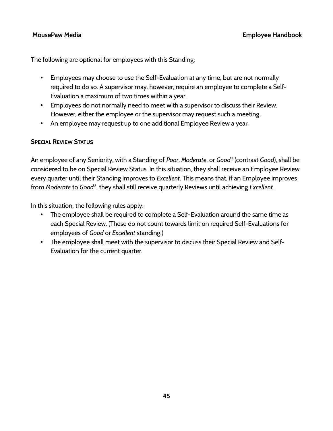The following are optional for employees with this Standing:

- Employees may choose to use the Self-Evaluation at any time, but are not normally required to do so. A supervisor may, however, require an employee to complete a Self-Evaluation a maximum of two times within a year.
- Employees do not normally need to meet with a supervisor to discuss their Review. However, either the employee or the supervisor may request such a meeting.
- An employee may request up to one additional Employee Review a year.

## **SPECIAL REVIEW STATUS**

An employee of any Seniority, with a Standing of *Poor*, *Moderate*, or *Good\** (contrast *Good*), shall be considered to be on Special Review Status. In this situation, they shall receive an Employee Review every quarter until their Standing improves to *Excellent*. This means that, if an Employee improves from *Moderate* to *Good\**, they shall still receive quarterly Reviews until achieving *Excellent*.

In this situation, the following rules apply:

- The employee shall be required to complete a Self-Evaluation around the same time as each Special Review. (These do not count towards limit on required Self-Evaluations for employees of *Good* or *Excellent* standing.)
- The employee shall meet with the supervisor to discuss their Special Review and Self-Evaluation for the current quarter.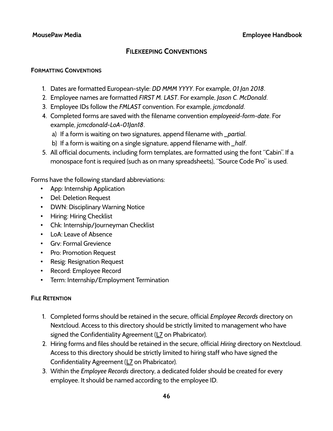## **FILEKEEPING CONVENTIONS**

### **FORMATTING CONVENTIONS**

- 1. Dates are formatted European-style: *DD MMM YYYY*. For example, *01 Jan 2018*.
- 2. Employee names are formatted *FIRST M. LAST*. For example, *Jason C. McDonald*.
- 3. Employee IDs follow the *FMLAST* convention. For example, *jcmcdonald*.
- 4. Completed forms are saved with the filename convention *employeeid-form-date*. For example, *jcmcdonald-LoA-01Jan18*.
	- a) If a form is waiting on two signatures, append filename with *\_partial*.
	- b) If a form is waiting on a single signature, append filename with *\_half*.
- 5. All official documents, including form templates, are formatted using the font "Cabin". If a monospace font is required (such as on many spreadsheets), "Source Code Pro" is used.

Forms have the following standard abbreviations:

- App: Internship Application
- Del: Deletion Request
- DWN: Disciplinary Warning Notice
- Hiring: Hiring Checklist
- Chk: Internship/Journeyman Checklist
- LoA: Leave of Absence
- Grv: Formal Grevience
- Pro: Promotion Request
- Resig: Resignation Request
- Record: Employee Record
- Term: Internship/Employment Termination

## **FILE RETENTION**

- 1. Completed forms should be retained in the secure, official *Employee Records* directory on Nextcloud. Access to this directory should be strictly limited to management who have signed the Confidentiality Agreement (L7 on Phabricator).
- 2. Hiring forms and files should be retained in the secure, official *Hiring* directory on Nextcloud. Access to this directory should be strictly limited to hiring staff who have signed the Confidentiality Agreement (L7 on Phabricator).
- 3. Within the *Employee Records* directory, a dedicated folder should be created for every employee. It should be named according to the employee ID.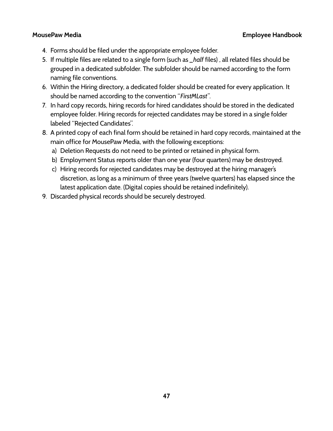- 4. Forms should be filed under the appropriate employee folder.
- 5. If multiple files are related to a single form (such as *\_half* files) , all related files should be grouped in a dedicated subfolder. The subfolder should be named according to the form naming file conventions.
- 6. Within the Hiring directory, a dedicated folder should be created for every application. It should be named according to the convention "*FirstMLast"*.
- 7. In hard copy records, hiring records for hired candidates should be stored in the dedicated employee folder. Hiring records for rejected candidates may be stored in a single folder labeled "Rejected Candidates".
- 8. A printed copy of each final form should be retained in hard copy records, maintained at the main office for MousePaw Media, with the following exceptions:
	- a) Deletion Requests do not need to be printed or retained in physical form.
	- b) Employment Status reports older than one year (four quarters) may be destroyed.
	- c) Hiring records for rejected candidates may be destroyed at the hiring manager's discretion, as long as a minimum of three years (twelve quarters) has elapsed since the latest application date. (Digital copies should be retained indefinitely).
- 9. Discarded physical records should be securely destroyed.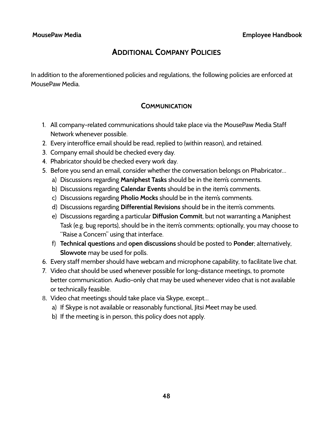# **ADDITIONAL COMPANY POLICIES**

In addition to the aforementioned policies and regulations, the following policies are enforced at MousePaw Media.

## **COMMUNICATION**

- 1. All company-related communications should take place via the MousePaw Media Staff Network whenever possible.
- 2. Every interoffice email should be read, replied to (within reason), and retained.
- 3. Company email should be checked every day.
- 4. Phabricator should be checked every work day.
- 5. Before you send an email, consider whether the conversation belongs on Phabricator…
	- a) Discussions regarding **Maniphest Tasks** should be in the item's comments.
	- b) Discussions regarding **Calendar Events** should be in the item's comments.
	- c) Discussions regarding **Pholio Mocks** should be in the item's comments.
	- d) Discussions regarding **Differential Revisions** should be in the item's comments.
	- e) Discussions regarding a particular **Diffusion Commit**, but not warranting a Maniphest Task (e.g. bug reports), should be in the item's comments; optionally, you may choose to "Raise a Concern" using that interface.
	- f) **Technical questions** and **open discussions** should be posted to **Ponder**; alternatively, **Slowvote** may be used for polls.
- 6. Every staff member should have webcam and microphone capability, to facilitate live chat.
- 7. Video chat should be used whenever possible for long-distance meetings, to promote better communication. Audio-only chat may be used whenever video chat is not available or technically feasible.
- 8. Video chat meetings should take place via Skype, except…
	- a) If Skype is not available or reasonably functional, Jitsi Meet may be used.
	- b) If the meeting is in person, this policy does not apply.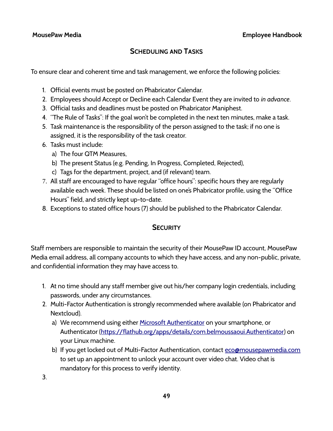## **SCHEDULING AND TASKS**

To ensure clear and coherent time and task management, we enforce the following policies:

- 1. Official events must be posted on Phabricator Calendar.
- 2. Employees should Accept or Decline each Calendar Event they are invited to *in advance*.
- 3. Official tasks and deadlines must be posted on Phabricator Maniphest.
- 4. "The Rule of Tasks": If the goal won't be completed in the next ten minutes, make a task.
- 5. Task maintenance is the responsibility of the person assigned to the task; if no one is assigned, it is the responsibility of the task creator.
- 6. Tasks must include:
	- a) The four QTM Measures,
	- b) The present Status (e.g. Pending, In Progress, Completed, Rejected),
	- c) Tags for the department, project, and (if relevant) team.
- 7. All staff are encouraged to have regular "office hours": specific hours they are regularly available each week. These should be listed on one's Phabricator profile, using the "Office Hours" field, and strictly kept up-to-date.
- 8. Exceptions to stated office hours (7) should be published to the Phabricator Calendar.

## **SECURITY**

Staff members are responsible to maintain the security of their MousePaw ID account, MousePaw Media email address, all company accounts to which they have access, and any non-public, private, and confidential information they may have access to.

- 1. At no time should any staff member give out his/her company login credentials, including passwords, under any circumstances.
- 2. Multi-Factor Authentication is strongly recommended where available (on Phabricator and Nextcloud).
	- a) We recommend using either [Microsoft Authenticator](https://www.microsoft.com/en-us/account/authenticator) on your smartphone, or Authenticator [\(https://flathub.org/apps/details/com.belmoussaoui.Authenticator](https://flathub.org/apps/details/com.belmoussaoui.Authenticator)) on your Linux machine.
	- b) If you get locked out of Multi-Factor Authentication, contact [eco@mousepawmedia.com](mailto:eco@mousepawmedia.com) to set up an appointment to unlock your account over video chat. Video chat is mandatory for this process to verify identity.

3.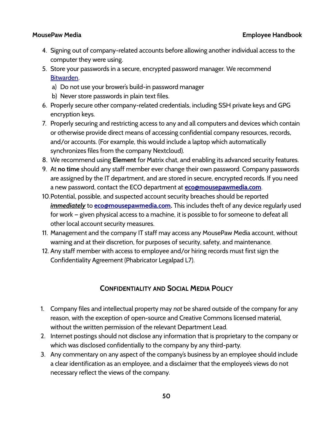- 4. Signing out of company-related accounts before allowing another individual access to the computer they were using.
- 5. Store your passwords in a secure, encrypted password manager. We recommend [Bitwarden](https://bitwarden.com/).
	- a) Do not use your brower's build-in password manager
	- b) Never store passwords in plain text files.
- 6. Properly secure other company-related credentials, including SSH private keys and GPG encryption keys.
- 7. Properly securing and restricting access to any and all computers and devices which contain or otherwise provide direct means of accessing confidential company resources, records, and/or accounts. (For example, this would include a laptop which automatically synchronizes files from the company Nextcloud).
- 8. We recommend using **Element** for Matrix chat, and enabling its advanced security features.
- 9. At **no time** should any staff member ever change their own password. Company passwords are assigned by the IT department, and are stored in secure, encrypted records. If you need a new password, contact the ECO department at **[eco@mousepawmedia.com](mailto:eco@mousepawmedia.com)**.
- 10.Potential, possible, and suspected account security breaches should be reported *immediately* to **[eco@mousepawmedia.com](mailto:eco@mousepawmedia.com).** This includes theft of any device regularly used for work — given physical access to a machine, it is possible to for someone to defeat all other local account security measures.
- 11. Management and the company IT staff may access any MousePaw Media account, without warning and at their discretion, for purposes of security, safety, and maintenance.
- 12. Any staff member with access to employee and/or hiring records must first sign the Confidentiality Agreement (Phabricator Legalpad L7).

## **CONFIDENTIALITY AND SOCIAL MEDIA POLICY**

- 1. Company files and intellectual property may *not* be shared outside of the company for any reason, with the exception of open-source and Creative Commons licensed material, without the written permission of the relevant Department Lead.
- 2. Internet postings should not disclose any information that is proprietary to the company or which was disclosed confidentially to the company by any third-party.
- 3. Any commentary on any aspect of the company's business by an employee should include a clear identification as an employee, and a disclaimer that the employee's views do not necessary reflect the views of the company.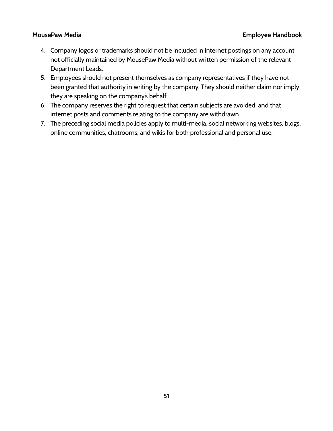- 4. Company logos or trademarks should not be included in internet postings on any account not officially maintained by MousePaw Media without written permission of the relevant Department Leads.
- 5. Employees should not present themselves as company representatives if they have not been granted that authority in writing by the company. They should neither claim nor imply they are speaking on the company's behalf.
- 6. The company reserves the right to request that certain subjects are avoided, and that internet posts and comments relating to the company are withdrawn.
- 7. The preceding social media policies apply to multi-media, social networking websites, blogs, online communities, chatrooms, and wikis for both professional and personal use.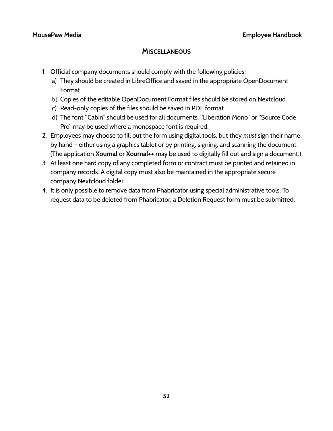## **MISCELLANEOUS**

- 1. Official company documents should comply with the following policies:
	- a) They should be created in LibreOffice and saved in the appropriate OpenDocument Format.
	- b) Copies of the editable OpenDocument Format files should be stored on Nextcloud.
	- c) Read-only copies of the files should be saved in PDF format.
	- d) The font "Cabin" should be used for all documents. "Liberation Mono" or "Source Code Pro" may be used where a monospace font is required.
- 2. Employees may choose to fill out the form using digital tools, but they *must* sign their name by hand – either using a graphics tablet or by printing, signing, and scanning the document. (The application **Xournal** or **Xournal++** may be used to digitally fill out and sign a document.)
- 3. At least one hard copy of any completed form or contract must be printed and retained in company records. A digital copy must also be maintained in the appropriate secure company Nextcloud folder.
- 4. It is only possible to remove data from Phabricator using special administrative tools. To request data to be deleted from Phabricator, a Deletion Request form must be submitted.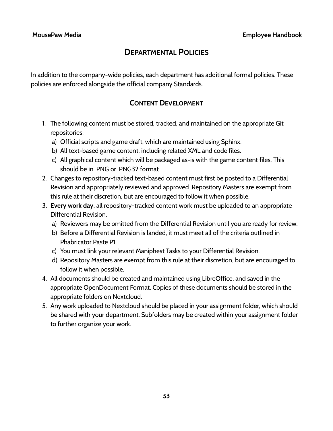# **DEPARTMENTAL POLICIES**

In addition to the company-wide policies, each department has additional formal policies. These policies are enforced alongside the official company Standards.

## **CONTENT DEVELOPMENT**

- 1. The following content must be stored, tracked, and maintained on the appropriate Git repositories:
	- a) Official scripts and game draft, which are maintained using Sphinx.
	- b) All text-based game content, including related XML and code files.
	- c) All graphical content which will be packaged as-is with the game content files. This should be in .PNG or .PNG32 format.
- 2. Changes to repository-tracked text-based content must first be posted to a Differential Revision and appropriately reviewed and approved. Repository Masters are exempt from this rule at their discretion, but are encouraged to follow it when possible.
- 3. **Every work day**, all repository-tracked content work must be uploaded to an appropriate Differential Revision.
	- a) Reviewers may be omitted from the Differential Revision until you are ready for review.
	- b) Before a Differential Revision is landed, it must meet all of the criteria outlined in Phabricator Paste P1.
	- c) You must link your relevant Maniphest Tasks to your Differential Revision.
	- d) Repository Masters are exempt from this rule at their discretion, but are encouraged to follow it when possible.
- 4. All documents should be created and maintained using LibreOffice, and saved in the appropriate OpenDocument Format. Copies of these documents should be stored in the appropriate folders on Nextcloud.
- 5. Any work uploaded to Nextcloud should be placed in your assignment folder, which should be shared with your department. Subfolders may be created within your assignment folder to further organize your work.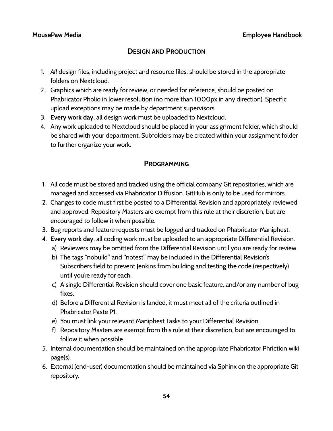## **DESIGN AND PRODUCTION**

- 1. *All* design files, including project and resource files, should be stored in the appropriate folders on Nextcloud.
- 2. Graphics which are ready for review, or needed for reference, should be posted on Phabricator Pholio in lower resolution (no more than 1000px in any direction). Specific upload exceptions may be made by department supervisors.
- 3. **Every work day**, all design work must be uploaded to Nextcloud.
- 4. Any work uploaded to Nextcloud should be placed in your assignment folder, which should be shared with your department. Subfolders may be created within your assignment folder to further organize your work.

## **PROGRAMMING**

- 1. All code must be stored and tracked using the official company Git repositories, which are managed and accessed via Phabricator Diffusion. GitHub is only to be used for mirrors.
- 2. Changes to code must first be posted to a Differential Revision and appropriately reviewed and approved. Repository Masters are exempt from this rule at their discretion, but are encouraged to follow it when possible.
- 3. Bug reports and feature requests must be logged and tracked on Phabricator Maniphest.
- 4. **Every work day**, all coding work must be uploaded to an appropriate Differential Revision.
	- a) Reviewers may be omitted from the Differential Revision until you are ready for review.
	- b) The tags "nobuild" and "notest" may be included in the Differential Revision's Subscribers field to prevent Jenkins from building and testing the code (respectively) until you're ready for each.
	- c) A single Differential Revision should cover one basic feature, and/or any number of bug fixes.
	- d) Before a Differential Revision is landed, it must meet all of the criteria outlined in Phabricator Paste P1.
	- e) You must link your relevant Maniphest Tasks to your Differential Revision.
	- f) Repository Masters are exempt from this rule at their discretion, but are encouraged to follow it when possible.
- 5. Internal documentation should be maintained on the appropriate Phabricator Phriction wiki page(s).
- 6. External (end-user) documentation should be maintained via Sphinx on the appropriate Git repository.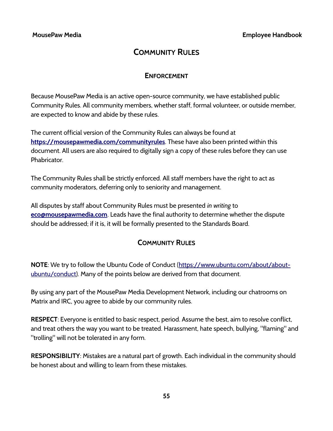# **COMMUNITY RULES**

## **ENFORCEMENT**

Because MousePaw Media is an active open-source community, we have established public Community Rules. All community members, whether staff, formal volunteer, or outside member, are expected to know and abide by these rules.

The current official version of the Community Rules can always be found at  **[https:// mousepawmedia.com/communityrules](https://mousepawmedia.com/communityrules)**. These have also been printed within this document. All users are also required to digitally sign a copy of these rules before they can use **Phabricator** 

The Community Rules shall be strictly enforced. All staff members have the right to act as community moderators, deferring only to seniority and management.

All disputes by staff about Community Rules must be presented *in writing* to **[eco@mousepawmedia.com](mailto:eco@mousepawmedia.com)**. Leads have the final authority to determine whether the dispute should be addressed; if it is, it will be formally presented to the Standards Board.

## **COMMUNITY RULES**

**NOTE**: We try to follow the Ubuntu Code of Conduct ([https://www.ubuntu.com/about/about](https://www.ubuntu.com/about/about-ubuntu/conduct)[ubuntu/conduct](https://www.ubuntu.com/about/about-ubuntu/conduct)). Many of the points below are derived from that document.

By using any part of the MousePaw Media Development Network, including our chatrooms on Matrix and IRC, you agree to abide by our community rules.

**RESPECT**: Everyone is entitled to basic respect, period. Assume the best, aim to resolve conflict, and treat others the way you want to be treated. Harassment, hate speech, bullying, "flaming" and "trolling" will not be tolerated in any form.

**RESPONSIBILITY**: Mistakes are a natural part of growth. Each individual in the community should be honest about and willing to learn from these mistakes.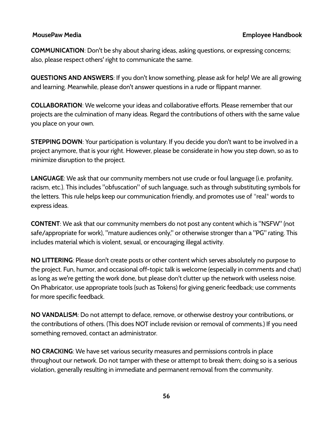**COMMUNICATION**: Don't be shy about sharing ideas, asking questions, or expressing concerns; also, please respect others' right to communicate the same.

**QUESTIONS AND ANSWERS**: If you don't know something, please ask for help! We are all growing and learning. Meanwhile, please don't answer questions in a rude or flippant manner.

**COLLABORATION**: We welcome your ideas and collaborative efforts. Please remember that our projects are the culmination of many ideas. Regard the contributions of others with the same value you place on your own.

**STEPPING DOWN**: Your participation is voluntary. If you decide you don't want to be involved in a project anymore, that is your right. However, please be considerate in how you step down, so as to minimize disruption to the project.

**LANGUAGE**: We ask that our community members not use crude or foul language (i.e. profanity, racism, etc.). This includes "obfuscation" of such language, such as through substituting symbols for the letters. This rule helps keep our communication friendly, and promotes use of \*real\* words to express ideas.

**CONTENT**: We ask that our community members do not post any content which is "NSFW" (not safe/appropriate for work), "mature audiences only," or otherwise stronger than a "PG" rating. This includes material which is violent, sexual, or encouraging illegal activity.

**NO LITTERING**: Please don't create posts or other content which serves absolutely no purpose to the project. Fun, humor, and occasional off-topic talk is welcome (especially in comments and chat) as long as we're getting the work done, but please don't clutter up the network with useless noise. On Phabricator, use appropriate tools (such as Tokens) for giving generic feedback; use comments for more specific feedback.

**NO VANDALISM**: Do not attempt to deface, remove, or otherwise destroy your contributions, or the contributions of others. (This does NOT include revision or removal of comments.) If you need something removed, contact an administrator.

**NO CRACKING**: We have set various security measures and permissions controls in place throughout our network. Do not tamper with these or attempt to break them; doing so is a serious violation, generally resulting in immediate and permanent removal from the community.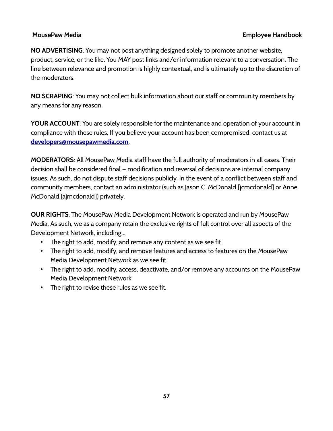**NO ADVERTISING**: You may not post anything designed solely to promote another website, product, service, or the like. You MAY post links and/or information relevant to a conversation. The line between relevance and promotion is highly contextual, and is ultimately up to the discretion of the moderators.

**NO SCRAPING**: You may not collect bulk information about our staff or community members by any means for any reason.

**YOUR ACCOUNT**: You are solely responsible for the maintenance and operation of your account in compliance with these rules. If you believe your account has been compromised, contact us at **[developers@mousepawmedia.com](mailto:developers@mousepawmedia.com)**.

**MODERATORS**: All MousePaw Media staff have the full authority of moderators in all cases. Their decision shall be considered final — modification and reversal of decisions are internal company issues. As such, do not dispute staff decisions publicly. In the event of a conflict between staff and community members, contact an administrator (such as Jason C. McDonald [jcmcdonald] or Anne McDonald [ajmcdonald]) privately.

**OUR RIGHTS**: The MousePaw Media Development Network is operated and run by MousePaw Media. As such, we as a company retain the exclusive rights of full control over all aspects of the Development Network, including...

- The right to add, modify, and remove any content as we see fit.
- The right to add, modify, and remove features and access to features on the MousePaw Media Development Network as we see fit.
- The right to add, modify, access, deactivate, and/or remove any accounts on the MousePaw Media Development Network.
- The right to revise these rules as we see fit.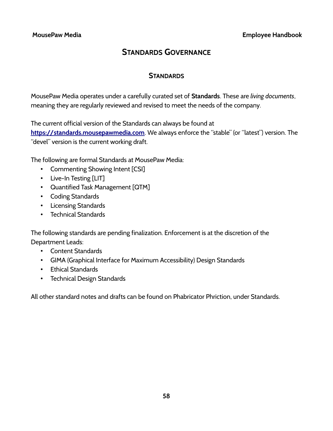# **STANDARDS GOVERNANCE**

## **STANDARDS**

MousePaw Media operates under a carefully curated set of **Standards**. These are *living documents*, meaning they are regularly reviewed and revised to meet the needs of the company.

The current official version of the Standards can always be found at

 **[https:// standards.mousepawmedia.com](https://standards.mousepawmedia.com/)**. We always enforce the "stable" (or "latest") version. The "devel" version is the current working draft.

The following are formal Standards at MousePaw Media:

- Commenting Showing Intent [CSI]
- Live-In Testing [LIT]
- Quantified Task Management [QTM]
- Coding Standards
- Licensing Standards
- Technical Standards

The following standards are pending finalization. Enforcement is at the discretion of the Department Leads:

- Content Standards
- GIMA (Graphical Interface for Maximum Accessibility) Design Standards
- Ethical Standards
- Technical Design Standards

All other standard notes and drafts can be found on Phabricator Phriction, under Standards.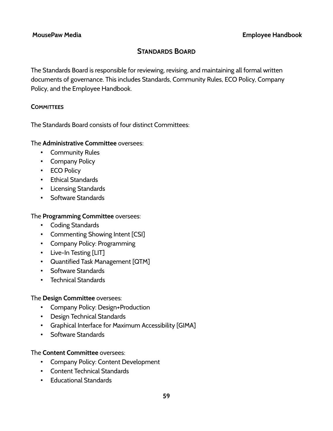## **STANDARDS BOARD**

The Standards Board is responsible for reviewing, revising, and maintaining all formal written documents of governance. This includes Standards, Community Rules, ECO Policy, Company Policy, and the Employee Handbook.

## **COMMITTEES**

The Standards Board consists of four distinct Committees:

## The **Administrative Committee** oversees:

- Community Rules
- Company Policy
- ECO Policy
- Ethical Standards
- Licensing Standards
- Software Standards

## The **Programming Committee** oversees:

- Coding Standards
- Commenting Showing Intent [CSI]
- Company Policy: Programming
- Live-In Testing [LIT]
- Quantified Task Management [QTM]
- Software Standards
- Technical Standards

## The **Design Committee** oversees:

- Company Policy: Design+Production
- Design Technical Standards
- Graphical Interface for Maximum Accessibility [GIMA]
- Software Standards

## The **Content Committee** oversees:

- Company Policy: Content Development
- Content Technical Standards
- Educational Standards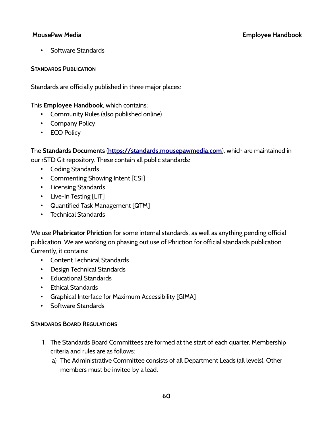• Software Standards

## **STANDARDS PUBLICATION**

Standards are officially published in three major places:

This **Employee Handbook**, which contains:

- Community Rules (also published online)
- Company Policy
- ECO Policy

The **Standards Documents** ( **[https:// standards.mousepawmedia.com](https://standards.mousepawmedia.com/)**), which are maintained in our rSTD Git repository. These contain all public standards:

- Coding Standards
- Commenting Showing Intent [CSI]
- Licensing Standards
- Live-In Testing [LIT]
- Quantified Task Management [QTM]
- Technical Standards

We use **Phabricator Phriction** for some internal standards, as well as anything pending official publication. We are working on phasing out use of Phriction for official standards publication. Currently, it contains:

- Content Technical Standards
- Design Technical Standards
- Educational Standards
- Ethical Standards
- Graphical Interface for Maximum Accessibility [GIMA]
- Software Standards

## **STANDARDS BOARD REGULATIONS**

- 1. The Standards Board Committees are formed at the start of each quarter. Membership criteria and rules are as follows:
	- a) The Administrative Committee consists of all Department Leads (all levels). Other members must be invited by a lead.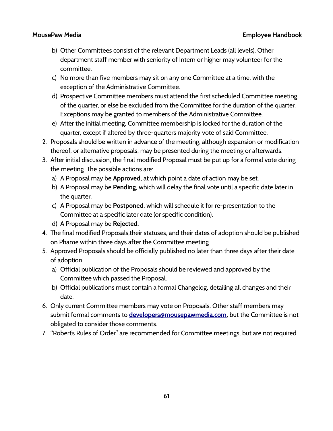- b) Other Committees consist of the relevant Department Leads (all levels). Other department staff member with seniority of Intern or higher may volunteer for the committee.
- c) No more than five members may sit on any one Committee at a time, with the exception of the Administrative Committee.
- d) Prospective Committee members must attend the first scheduled Committee meeting of the quarter, or else be excluded from the Committee for the duration of the quarter. Exceptions may be granted to members of the Administrative Committee.
- e) After the initial meeting, Committee membership is locked for the duration of the quarter, except if altered by three-quarters majority vote of said Committee.
- 2. Proposals should be written in advance of the meeting, although expansion or modification thereof, or alternative proposals, may be presented during the meeting or afterwards.
- 3. After initial discussion, the final modified Proposal must be put up for a formal vote during the meeting. The possible actions are:
	- a) A Proposal may be **Approved**, at which point a date of action may be set.
	- b) A Proposal may be **Pending**, which will delay the final vote until a specific date later in the quarter.
	- c) A Proposal may be **Postponed**, which will schedule it for re-presentation to the Committee at a specific later date (or specific condition).
	- d) A Proposal may be **Rejected.**
- 4. The final modified Proposals,their statuses, and their dates of adoption should be published on Phame within three days after the Committee meeting.
- 5. Approved Proposals should be officially published no later than three days after their date of adoption.
	- a) Official publication of the Proposals should be reviewed and approved by the Committee which passed the Proposal.
	- b) Official publications must contain a formal Changelog, detailing all changes and their date.
- 6. Only current Committee members may vote on Proposals. Other staff members may submit formal comments to **[developers@mousepawmedia.com](mailto:developers@mousepawmedia.com)**, but the Committee is not obligated to consider those comments.
- 7. "Robert's Rules of Order" are recommended for Committee meetings, but are not required.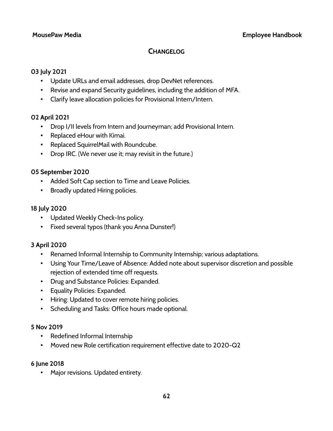## **CHANGELOG**

## **03 July 2021**

- Update URLs and email addresses, drop DevNet references.
- Revise and expand Security guidelines, including the addition of MFA.
- Clarify leave allocation policies for Provisional Intern/Intern.

## **02 April 2021**

- Drop I/II levels from Intern and Journeyman; add Provisional Intern.
- Replaced eHour with Kimai.
- Replaced SquirrelMail with Roundcube.
- Drop IRC. (We never use it; may revisit in the future.)

## **05 September 2020**

- Added Soft Cap section to Time and Leave Policies.
- Broadly updated Hiring policies.

## **18 July 2020**

- Updated Weekly Check-Ins policy.
- Fixed several typos (thank you Anna Dunster!)

## **3 April 2020**

- Renamed Informal Internship to Community Internship; various adaptations.
- Using Your Time/Leave of Absence: Added note about supervisor discretion and possible rejection of extended time off requests.
- Drug and Substance Policies: Expanded.
- Equality Policies: Expanded.
- Hiring: Updated to cover remote hiring policies.
- Scheduling and Tasks: Office hours made optional.

## **5 Nov 2019**

- Redefined Informal Internship
- Moved new Role certification requirement effective date to 2020-Q2

## **6 June 2018**

• Major revisions. Updated entirety.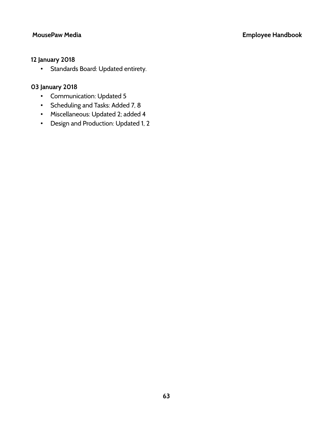## **12 January 2018**

• Standards Board: Updated entirety.

## **03 January 2018**

- Communication: Updated 5
- Scheduling and Tasks: Added 7, 8
- Miscellaneous: Updated 2; added 4
- Design and Production: Updated 1, 2